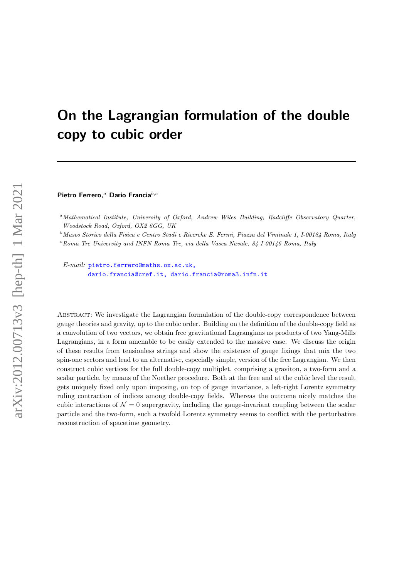# On the Lagrangian formulation of the double copy to cubic order

Pietro Ferrero,<sup>a</sup> Dario Francia $^{b,c}$ 

<sup>a</sup>Mathematical Institute, University of Oxford, Andrew Wiles Building, Radcliffe Observatory Quarter, Woodstock Road, Oxford, OX2 6GG, UK

<sup>b</sup>Museo Storico della Fisica e Centro Studi e Ricerche E. Fermi, Piazza del Viminale 1, I-00184 Roma, Italy

 $c$ Roma Tre University and INFN Roma Tre, via della Vasca Navale, 84 I-00146 Roma, Italy

E-mail: [pietro.ferrero@maths.ox.ac.uk,](mailto:pietro.ferrero@maths.ox.ac.uk, \ \hskip 37pt dario.francia@cref.it, dario.francia@roma3.infn.it) [dario.francia@cref.it, dario.francia@roma3.infn.it](mailto:pietro.ferrero@maths.ox.ac.uk, \ \hskip 37pt dario.francia@cref.it, dario.francia@roma3.infn.it)

Abstract: We investigate the Lagrangian formulation of the double-copy correspondence between gauge theories and gravity, up to the cubic order. Building on the definition of the double-copy field as a convolution of two vectors, we obtain free gravitational Lagrangians as products of two Yang-Mills Lagrangians, in a form amenable to be easily extended to the massive case. We discuss the origin of these results from tensionless strings and show the existence of gauge fixings that mix the two spin-one sectors and lead to an alternative, especially simple, version of the free Lagrangian. We then construct cubic vertices for the full double-copy multiplet, comprising a graviton, a two-form and a scalar particle, by means of the Noether procedure. Both at the free and at the cubic level the result gets uniquely fixed only upon imposing, on top of gauge invariance, a left-right Lorentz symmetry ruling contraction of indices among double-copy fields. Whereas the outcome nicely matches the cubic interactions of  $\mathcal{N} = 0$  supergravity, including the gauge-invariant coupling between the scalar particle and the two-form, such a twofold Lorentz symmetry seems to conflict with the perturbative reconstruction of spacetime geometry.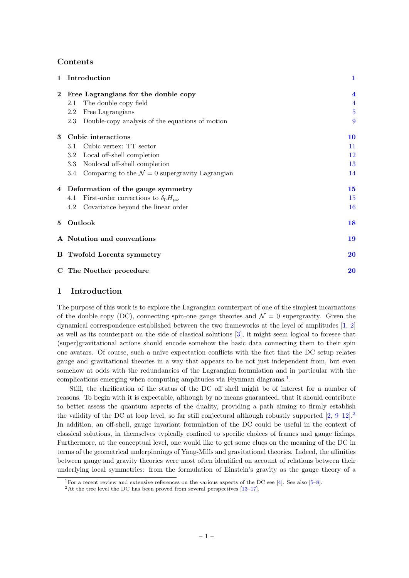# Contents

|              | Introduction                                                    | 1                       |
|--------------|-----------------------------------------------------------------|-------------------------|
| $\mathbf{2}$ | Free Lagrangians for the double copy                            | $\overline{\mathbf{4}}$ |
|              | The double copy field<br>2.1                                    | $\overline{4}$          |
|              | Free Lagrangians<br>2.2                                         | $\overline{5}$          |
|              | Double-copy analysis of the equations of motion<br>2.3          | 9                       |
| 3            | Cubic interactions                                              | <b>10</b>               |
|              | Cubic vertex: TT sector<br>3.1                                  | 11                      |
|              | Local off-shell completion<br>3.2                               | 12                      |
|              | Nonlocal off-shell completion<br>3.3                            | 13                      |
|              | Comparing to the $\mathcal{N}=0$ supergravity Lagrangian<br>3.4 | 14                      |
| 4            | Deformation of the gauge symmetry                               | 15                      |
|              | First-order corrections to $\delta_0 H_{\mu\nu}$<br>4.1         | 15                      |
|              | Covariance beyond the linear order<br>4.2                       | <b>16</b>               |
| 5            | Outlook                                                         | 18                      |
|              | A Notation and conventions                                      | 19                      |
|              | <b>B</b> Twofold Lorentz symmetry                               | 20                      |
|              | C The Noether procedure                                         | 20                      |

# <span id="page-1-0"></span>1 Introduction

The purpose of this work is to explore the Lagrangian counterpart of one of the simplest incarnations of the double copy (DC), connecting spin-one gauge theories and  $\mathcal{N}=0$  supergravity. Given the dynamical correspondence established between the two frameworks at the level of amplitudes [\[1,](#page-22-0) [2\]](#page-22-1) as well as its counterpart on the side of classical solutions [\[3\]](#page-22-2), it might seem logical to foresee that (super)gravitational actions should encode somehow the basic data connecting them to their spin one avatars. Of course, such a naive expectation conflicts with the fact that the DC setup relates gauge and gravitational theories in a way that appears to be not just independent from, but even somehow at odds with the redundancies of the Lagrangian formulation and in particular with the complications emerging when computing amplitudes via Feynman diagrams.<sup>[1](#page-1-1)</sup>.

Still, the clarification of the status of the DC off shell might be of interest for a number of reasons. To begin with it is expectable, although by no means guaranteed, that it should contribute to better assess the quantum aspects of the duality, providing a path aiming to firmly establish the validity of the DC at loop level, so far still conjectural although robustly supported  $[2, 9-12]$  $[2, 9-12]$ . In addition, an off-shell, gauge invariant formulation of the DC could be useful in the context of classical solutions, in themselves typically confined to specific choices of frames and gauge fixings. Furthermore, at the conceptual level, one would like to get some clues on the meaning of the DC in terms of the geometrical underpinnings of Yang-Mills and gravitational theories. Indeed, the affinities between gauge and gravity theories were most often identified on account of relations between their underlying local symmetries: from the formulation of Einstein's gravity as the gauge theory of a

<span id="page-1-1"></span><sup>&</sup>lt;sup>1</sup>For a recent review and extensive references on the various aspects of the DC see [\[4\]](#page-22-4). See also [\[5–](#page-22-5)[8\]](#page-22-6).

<span id="page-1-2"></span> $^2\mathrm{At}$  the tree level the DC has been proved from several perspectives [\[13–](#page-23-1)[17\]](#page-23-2).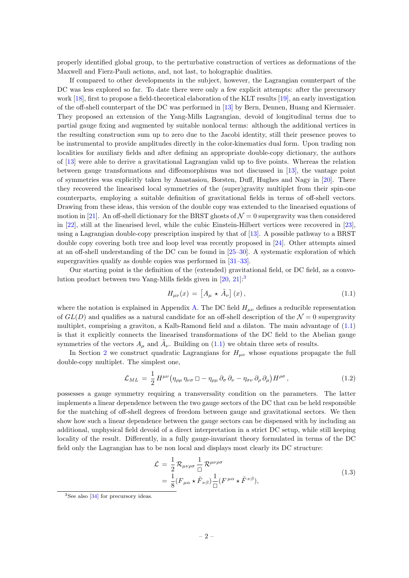properly identified global group, to the perturbative construction of vertices as deformations of the Maxwell and Fierz-Pauli actions, and, not last, to holographic dualities.

If compared to other developments in the subject, however, the Lagrangian counterpart of the DC was less explored so far. To date there were only a few explicit attempts: after the precursory work [\[18\]](#page-23-3), first to propose a field-theoretical elaboration of the KLT results [\[19\]](#page-23-4), an early investigation of the off-shell counterpart of the DC was performed in [\[13\]](#page-23-1) by Bern, Dennen, Huang and Kiermaier. They proposed an extension of the Yang-Mills Lagrangian, devoid of longitudinal terms due to partial gauge fixing and augmented by suitable nonlocal terms: although the additional vertices in the resulting construction sum up to zero due to the Jacobi identity, still their presence proves to be instrumental to provide amplitudes directly in the color-kinematics dual form. Upon trading non localities for auxiliary fields and after defining an appropriate double-copy dictionary, the authors of [\[13\]](#page-23-1) were able to derive a gravitational Lagrangian valid up to five points. Whereas the relation between gauge transformations and diffeomorphisms was not discussed in [\[13\]](#page-23-1), the vantage point of symmetries was explicitly taken by Anastasiou, Borsten, Duff, Hughes and Nagy in [\[20\]](#page-23-5). There they recovered the linearised local symmetries of the (super)gravity multiplet from their spin-one counterparts, employing a suitable definition of gravitational fields in terms of off-shell vectors. Drawing from these ideas, this version of the double copy was extended to the linearised equations of motion in [\[21\]](#page-23-6). An off-shell dictionary for the BRST ghosts of  $\mathcal{N}=0$  supergravity was then considered in [\[22\]](#page-23-7), still at the linearised level, while the cubic Einstein-Hilbert vertices were recovered in [\[23\]](#page-23-8), using a Lagrangian double-copy prescription inspired by that of [\[13\]](#page-23-1). A possible pathway to a BRST double copy covering both tree and loop level was recently proposed in [\[24\]](#page-23-9). Other attempts aimed at an off-shell understanding of the DC can be found in [\[25–](#page-23-10)[30\]](#page-23-11). A systematic exploration of which supergravities qualify as double copies was performed in [\[31–](#page-23-12)[33\]](#page-24-0).

Our starting point is the definition of the (extended) gravitational field, or DC field, as a convolution product between two Yang-Mills fields given in [\[20,](#page-23-5) [21\]](#page-23-6):[3](#page-2-0)

<span id="page-2-1"></span>
$$
H_{\mu\nu}(x) = \left[A_{\mu} \star \tilde{A}_{\nu}\right](x),\tag{1.1}
$$

where the notation is explained in Appendix [A.](#page-19-0) The DC field  $H_{\mu\nu}$  defines a reducible representation of  $GL(D)$  and qualifies as a natural candidate for an off-shell description of the  $\mathcal{N}=0$  supergravity multiplet, comprising a graviton, a Kalb-Ramond field and a dilaton. The main advantage of [\(1.1\)](#page-2-1) is that it explicitly connects the linearised transformations of the DC field to the Abelian gauge symmetries of the vectors  $A_{\mu}$  and  $\tilde{A}_{\nu}$ . Building on [\(1.1\)](#page-2-1) we obtain three sets of results.

In Section [2](#page-4-0) we construct quadratic Lagrangians for  $H_{\mu\nu}$  whose equations propagate the full double-copy multiplet. The simplest one,

<span id="page-2-3"></span>
$$
\mathcal{L}_{ML} = \frac{1}{2} H^{\mu\nu} \left( \eta_{\rho\mu} \, \eta_{\nu\sigma} \, \Box - \eta_{\rho\mu} \, \partial_{\sigma} \, \partial_{\nu} - \eta_{\sigma\nu} \, \partial_{\rho} \, \partial_{\mu} \right) H^{\rho\sigma} \,, \tag{1.2}
$$

possesses a gauge symmetry requiring a transversality condition on the parameters. The latter implements a linear dependence between the two gauge sectors of the DC that can be held responsible for the matching of off-shell degrees of freedom between gauge and gravitational sectors. We then show how such a linear dependence between the gauge sectors can be dispensed with by including an additional, unphysical field devoid of a direct interpretation in a strict DC setup, while still keeping locality of the result. Differently, in a fully gauge-invariant theory formulated in terms of the DC field only the Lagrangian has to be non local and displays most clearly its DC structure:

$$
\mathcal{L} = \frac{1}{2} \mathcal{R}_{\mu\nu\rho\sigma} \frac{1}{\Box} \mathcal{R}^{\mu\nu\rho\sigma} \n= \frac{1}{8} (F_{\mu\alpha} \star \tilde{F}_{\nu\beta}) \frac{1}{\Box} (F^{\mu\alpha} \star \tilde{F}^{\nu\beta}),
$$
\n(1.3)

<span id="page-2-2"></span><span id="page-2-0"></span><sup>&</sup>lt;sup>3</sup>See also [\[34\]](#page-24-1) for precursory ideas.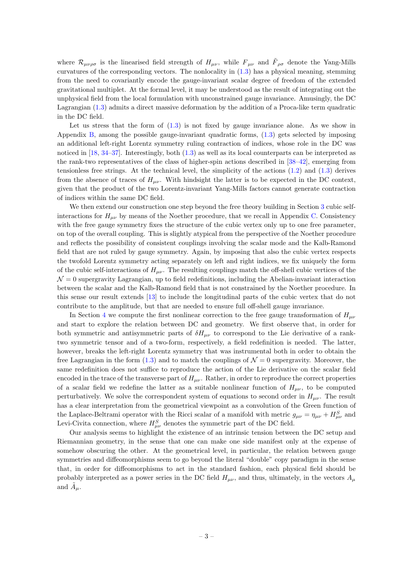where  $\mathcal{R}_{\mu\nu\rho\sigma}$  is the linearised field strength of  $H_{\mu\nu}$ , while  $F_{\mu\nu}$  and  $\tilde{F}_{\rho\sigma}$  denote the Yang-Mills curvatures of the corresponding vectors. The nonlocality in [\(1.3\)](#page-2-2) has a physical meaning, stemming from the need to covariantly encode the gauge-invariant scalar degree of freedom of the extended gravitational multiplet. At the formal level, it may be understood as the result of integrating out the unphysical field from the local formulation with unconstrained gauge invariance. Amusingly, the DC Lagrangian [\(1.3\)](#page-2-2) admits a direct massive deformation by the addition of a Proca-like term quadratic in the DC field.

Let us stress that the form of  $(1.3)$  is not fixed by gauge invariance alone. As we show in Appendix [B,](#page-20-0) among the possible gauge-invariant quadratic forms, [\(1.3\)](#page-2-2) gets selected by imposing an additional left-right Lorentz symmetry ruling contraction of indices, whose role in the DC was noticed in [\[18,](#page-23-3) [34–](#page-24-1)[37\]](#page-24-2). Interestingly, both [\(1.3\)](#page-2-2) as well as its local counterparts can be interpreted as the rank-two representatives of the class of higher-spin actions described in [\[38–](#page-24-3)[42\]](#page-24-4), emerging from tensionless free strings. At the technical level, the simplicity of the actions  $(1.2)$  and  $(1.3)$  derives from the absence of traces of  $H_{\mu\nu}$ . With hindsight the latter is to be expected in the DC context, given that the product of the two Lorentz-invariant Yang-Mills factors cannot generate contraction of indices within the same DC field.

We then extend our construction one step beyond the free theory building in Section [3](#page-10-0) cubic selfinteractions for  $H_{\mu\nu}$  by means of the Noether procedure, that we recall in Appendix [C.](#page-20-1) Consistency with the free gauge symmetry fixes the structure of the cubic vertex only up to one free parameter, on top of the overall coupling. This is slightly atypical from the perspective of the Noether procedure and reflects the possibility of consistent couplings involving the scalar mode and the Kalb-Ramond field that are not ruled by gauge symmetry. Again, by imposing that also the cubic vertex respects the twofold Lorentz symmetry acting separately on left and right indices, we fix uniquely the form of the cubic self-interactions of  $H_{\mu\nu}$ . The resulting couplings match the off-shell cubic vertices of the  $\mathcal{N}=0$  supergravity Lagrangian, up to field redefinitions, including the Abelian-invariant interaction between the scalar and the Kalb-Ramond field that is not constrained by the Noether procedure. In this sense our result extends [\[13\]](#page-23-1) to include the longitudinal parts of the cubic vertex that do not contribute to the amplitude, but that are needed to ensure full off-shell gauge invariance.

In Section [4](#page-15-0) we compute the first nonlinear correction to the free gauge transformation of  $H_{\mu\nu}$ and start to explore the relation between DC and geometry. We first observe that, in order for both symmetric and antisymmetric parts of  $\delta H_{\mu\nu}$  to correspond to the Lie derivative of a ranktwo symmetric tensor and of a two-form, respectively, a field redefinition is needed. The latter, however, breaks the left-right Lorentz symmetry that was instrumental both in order to obtain the free Lagrangian in the form [\(1.3\)](#page-2-2) and to match the couplings of  $\mathcal{N}=0$  supergravity. Moreover, the same redefinition does not suffice to reproduce the action of the Lie derivative on the scalar field encoded in the trace of the transverse part of  $H_{\mu\nu}$ . Rather, in order to reproduce the correct properties of a scalar field we redefine the latter as a suitable nonlinear function of  $H_{\mu\nu}$ , to be computed perturbatively. We solve the correspondent system of equations to second order in  $H_{\mu\nu}$ . The result has a clear interpretation from the geometrical viewpoint as a convolution of the Green function of the Laplace-Beltrami operator with the Ricci scalar of a manifold with metric  $g_{\mu\nu} = \eta_{\mu\nu} + H_{\mu\nu}^S$  and Levi-Civita connection, where  $H_{\mu\nu}^S$  denotes the symmetric part of the DC field.

Our analysis seems to highlight the existence of an intrinsic tension between the DC setup and Riemannian geometry, in the sense that one can make one side manifest only at the expense of somehow obscuring the other. At the geometrical level, in particular, the relation between gauge symmetries and diffeomorphisms seem to go beyond the literal "double" copy paradigm in the sense that, in order for diffeomorphisms to act in the standard fashion, each physical field should be probably interpreted as a power series in the DC field  $H_{\mu\nu}$ , and thus, ultimately, in the vectors  $A_{\mu}$ and  $\tilde{A}_{\mu}$ .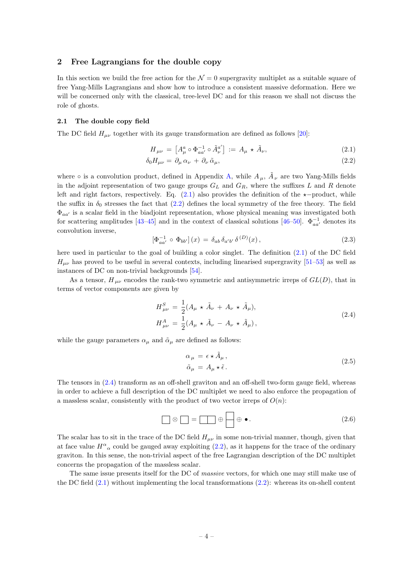## <span id="page-4-0"></span>2 Free Lagrangians for the double copy

In this section we build the free action for the  $\mathcal{N}=0$  supergravity multiplet as a suitable square of free Yang-Mills Lagrangians and show how to introduce a consistent massive deformation. Here we will be concerned only with the classical, tree-level DC and for this reason we shall not discuss the role of ghosts.

#### <span id="page-4-1"></span>2.1 The double copy field

The DC field  $H_{\mu\nu}$  together with its gauge transformation are defined as follows [\[20\]](#page-23-5):

<span id="page-4-3"></span><span id="page-4-2"></span>
$$
H_{\mu\nu} = \left[ A_{\mu}^{a} \circ \Phi_{aa'}^{-1} \circ \tilde{A}_{\nu}^{a'} \right] := A_{\mu} \star \tilde{A}_{\nu}, \tag{2.1}
$$

$$
\delta_0 H_{\mu\nu} = \partial_\mu \alpha_\nu + \partial_\nu \tilde{\alpha}_\mu,\tag{2.2}
$$

where  $\circ$  is a convolution product, defined in Appendix [A,](#page-19-0) while  $A_\mu$ ,  $\tilde{A}_\nu$  are two Yang-Mills fields in the adjoint representation of two gauge groups  $G_L$  and  $G_R$ , where the suffixes L and R denote left and right factors, respectively. Eq. [\(2.1\)](#page-4-2) also provides the definition of the  $\star$ −product, while the suffix in  $\delta_0$  stresses the fact that [\(2.2\)](#page-4-3) defines the local symmetry of the free theory. The field  $\Phi_{aa'}$  is a scalar field in the biadjoint representation, whose physical meaning was investigated both for scattering amplitudes [\[43–](#page-24-5)[45\]](#page-24-6) and in the context of classical solutions [\[46–](#page-24-7)[50\]](#page-24-8).  $\Phi_{aa}^{-1}$  denotes its convolution inverse,

$$
\left[\Phi_{aa'}^{-1} \circ \Phi_{bb'}\right](x) = \delta_{ab} \,\delta_{a'b'} \,\delta^{(D)}(x) \,,\tag{2.3}
$$

here used in particular to the goal of building a color singlet. The definition [\(2.1\)](#page-4-2) of the DC field  $H_{\mu\nu}$  has proved to be useful in several contexts, including linearised supergravity [\[51–](#page-24-9)[53\]](#page-25-0) as well as instances of DC on non-trivial backgrounds [\[54\]](#page-25-1).

As a tensor,  $H_{\mu\nu}$  encodes the rank-two symmetric and antisymmetric irreps of  $GL(D)$ , that in terms of vector components are given by

$$
H_{\mu\nu}^{S} = \frac{1}{2} (A_{\mu} \star \tilde{A}_{\nu} + A_{\nu} \star \tilde{A}_{\mu}),
$$
  
\n
$$
H_{\mu\nu}^{A} = \frac{1}{2} (A_{\mu} \star \tilde{A}_{\nu} - A_{\nu} \star \tilde{A}_{\mu}),
$$
\n(2.4)

<span id="page-4-4"></span>while the gauge parameters  $\alpha_{\mu}$  and  $\tilde{\alpha}_{\mu}$  are defined as follows:

$$
\alpha_{\mu} = \epsilon \star \tilde{A}_{\mu}, \n\tilde{\alpha}_{\mu} = A_{\mu} \star \tilde{\epsilon}.
$$
\n(2.5)

The tensors in [\(2.4\)](#page-4-4) transform as an off-shell graviton and an off-shell two-form gauge field, whereas in order to achieve a full description of the DC multiplet we need to also enforce the propagation of a massless scalar, consistently with the product of two vector irreps of  $O(n)$ :

<span id="page-4-5"></span>
$$
\Box \otimes \Box = \Box \oplus \bigoplus \oplus \bullet. \tag{2.6}
$$

The scalar has to sit in the trace of the DC field  $H_{\mu\nu}$  in some non-trivial manner, though, given that at face value  $H^{\alpha}{}_{\alpha}$  could be gauged away exploiting  $(2.2)$ , as it happens for the trace of the ordinary graviton. In this sense, the non-trivial aspect of the free Lagrangian description of the DC multiplet concerns the propagation of the massless scalar.

The same issue presents itself for the DC of massive vectors, for which one may still make use of the DC field  $(2.1)$  without implementing the local transformations  $(2.2)$ : whereas its on-shell content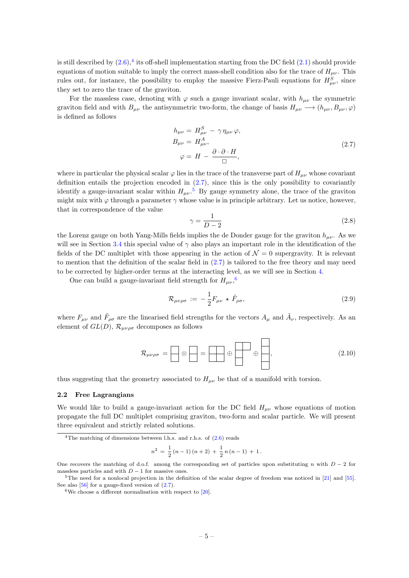is still described by  $(2.6)$ ,<sup>[4](#page-5-1)</sup> its off-shell implementation starting from the DC field  $(2.1)$  should provide equations of motion suitable to imply the correct mass-shell condition also for the trace of  $H_{\mu\nu}$ . This rules out, for instance, the possibility to employ the massive Fierz-Pauli equations for  $H_{\mu\nu}^S$ , since they set to zero the trace of the graviton.

For the massless case, denoting with  $\varphi$  such a gauge invariant scalar, with  $h_{\mu\nu}$  the symmetric graviton field and with  $B_{\mu\nu}$  the antisymmetric two-form, the change of basis  $H_{\mu\nu} \longrightarrow (h_{\mu\nu}, B_{\mu\nu}, \varphi)$ is defined as follows

$$
h_{\mu\nu} = H_{\mu\nu}^{S} - \gamma \eta_{\mu\nu} \varphi,
$$
  
\n
$$
B_{\mu\nu} = H_{\mu\nu}^{A},
$$
  
\n
$$
\varphi = H - \frac{\partial \cdot \partial \cdot H}{\Box},
$$
\n(2.7)

<span id="page-5-2"></span>where in particular the physical scalar  $\varphi$  lies in the trace of the transverse part of  $H_{\mu\nu}$  whose covariant definition entails the projection encoded in [\(2.7\)](#page-5-2), since this is the only possibility to covariantly identify a gauge-invariant scalar within  $H_{\mu\nu}$ .<sup>[5](#page-5-3)</sup> By gauge symmetry alone, the trace of the graviton might mix with  $\varphi$  through a parameter  $\gamma$  whose value is in principle arbitrary. Let us notice, however, that in correspondence of the value

$$
\gamma = \frac{1}{D - 2} \tag{2.8}
$$

the Lorenz gauge on both Yang-Mills fields implies the de Donder gauge for the graviton  $h_{\mu\nu}$ . As we will see in Section [3.4](#page-14-0) this special value of  $\gamma$  also plays an important role in the identification of the fields of the DC multiplet with those appearing in the action of  $\mathcal{N}=0$  supergravity. It is relevant to mention that the definition of the scalar field in [\(2.7\)](#page-5-2) is tailored to the free theory and may need to be corrected by higher-order terms at the interacting level, as we will see in Section [4.](#page-15-0)

One can build a gauge-invariant field strength for  $H_{\mu\nu}$ ,<sup>[6](#page-5-4)</sup>

<span id="page-5-5"></span>
$$
\mathcal{R}_{\mu\nu\rho\sigma} := -\frac{1}{2} F_{\mu\nu} \star \tilde{F}_{\rho\sigma}, \qquad (2.9)
$$

where  $F_{\mu\nu}$  and  $\tilde{F}_{\rho\sigma}$  are the linearised field strengths for the vectors  $A_\mu$  and  $\tilde{A}_\nu$ , respectively. As an element of  $GL(D)$ ,  $\mathcal{R}_{\mu\nu\rho\sigma}$  decomposes as follows

$$
\mathcal{R}_{\mu\nu\rho\sigma} = \boxed{\otimes} \boxed{\phantom{\bigoplus}} = \boxed{\phantom{\bigoplus}} \oplus \boxed{\phantom{\bigoplus}} \oplus \boxed{\phantom{\bigoplus}} \qquad (2.10)
$$

thus suggesting that the geometry associated to  $H_{\mu\nu}$  be that of a manifold with torsion.

#### <span id="page-5-0"></span>2.2 Free Lagrangians

We would like to build a gauge-invariant action for the DC field  $H_{\mu\nu}$  whose equations of motion propagate the full DC multiplet comprising graviton, two-form and scalar particle. We will present three equivalent and strictly related solutions.

$$
n^{2} = \frac{1}{2}(n-1)(n+2) + \frac{1}{2}n(n-1) + 1.
$$

<span id="page-5-1"></span><sup>&</sup>lt;sup>4</sup>The matching of dimensions between l.h.s. and r.h.s. of  $(2.6)$  reads

One recovers the matching of d.o.f. among the corresponding set of particles upon substituting n with  $D-2$  for massless particles and with  $D-1$  for massive ones.

<span id="page-5-3"></span><sup>5</sup>The need for a nonlocal projection in the definition of the scalar degree of freedom was noticed in [\[21\]](#page-23-6) and [\[55\]](#page-25-2). See also  $[56]$  for a gauge-fixed version of  $(2.7)$ .

<span id="page-5-4"></span> $6$ We choose a different normalisation with respect to [\[20\]](#page-23-5).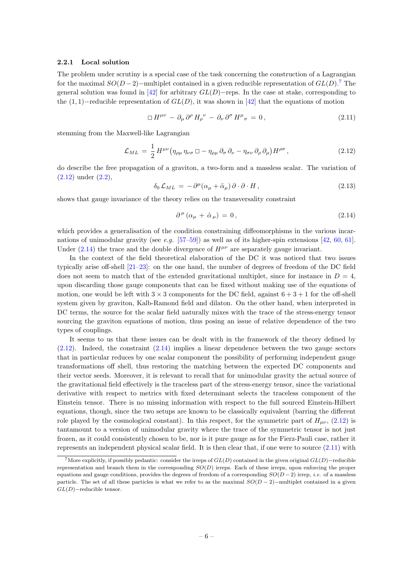#### 2.2.1 Local solution

The problem under scrutiny is a special case of the task concerning the construction of a Lagrangian for the maximal  $SO(D-2)$ –multiplet contained in a given reducible representation of  $GL(D)$ .<sup>[7](#page-6-0)</sup> The general solution was found in [\[42\]](#page-24-4) for arbitrary  $GL(D)$ −reps. In the case at stake, corresponding to the  $(1, 1)$ –reducible representation of  $GL(D)$ , it was shown in [\[42\]](#page-24-4) that the equations of motion

<span id="page-6-3"></span>
$$
\Box H^{\mu\nu} - \partial_{\mu}\partial^{\rho} H_{\rho}{}^{\nu} - \partial_{\nu}\partial^{\sigma} H^{\mu}{}_{\sigma} = 0, \qquad (2.11)
$$

stemming from the Maxwell-like Lagrangian

<span id="page-6-1"></span>
$$
\mathcal{L}_{ML} = \frac{1}{2} H^{\mu\nu} \left( \eta_{\rho\mu} \, \eta_{\nu\sigma} \, \Box - \eta_{\rho\mu} \, \partial_{\sigma} \, \partial_{\nu} - \eta_{\sigma\nu} \, \partial_{\rho} \, \partial_{\mu} \right) H^{\rho\sigma} \,, \tag{2.12}
$$

do describe the free propagation of a graviton, a two-form and a massless scalar. The variation of [\(2.12\)](#page-6-1) under [\(2.2\)](#page-4-3),

<span id="page-6-4"></span>
$$
\delta_0 \mathcal{L}_{ML} = -\partial^{\mu} (\alpha_{\mu} + \tilde{\alpha}_{\mu}) \partial \cdot \partial \cdot H , \qquad (2.13)
$$

shows that gauge invariance of the theory relies on the transversality constraint

<span id="page-6-2"></span>
$$
\partial^{\mu} (\alpha_{\mu} + \tilde{\alpha}_{\mu}) = 0, \qquad (2.14)
$$

which provides a generalisation of the condition constraining diffeomorphisms in the various incarnations of unimodular gravity (see e.g.  $[57-59]$  $[57-59]$ ) as well as of its higher-spin extensions  $[42, 60, 61]$  $[42, 60, 61]$  $[42, 60, 61]$  $[42, 60, 61]$ . Under [\(2.14\)](#page-6-2) the trace and the double divergence of  $H^{\mu\nu}$  are separately gauge invariant.

In the context of the field theoretical elaboration of the DC it was noticed that two issues typically arise off-shell [\[21–](#page-23-6)[23\]](#page-23-8): on the one hand, the number of degrees of freedom of the DC field does not seem to match that of the extended gravitational multiplet, since for instance in  $D = 4$ , upon discarding those gauge components that can be fixed without making use of the equations of motion, one would be left with  $3 \times 3$  components for the DC field, against  $6 + 3 + 1$  for the off-shell system given by graviton, Kalb-Ramond field and dilaton. On the other hand, when interpreted in DC terms, the source for the scalar field naturally mixes with the trace of the stress-energy tensor sourcing the graviton equations of motion, thus posing an issue of relative dependence of the two types of couplings.

It seems to us that these issues can be dealt with in the framework of the theory defined by  $(2.12)$ . Indeed, the constraint  $(2.14)$  implies a linear dependence between the two gauge sectors that in particular reduces by one scalar component the possibility of performing independent gauge transformations off shell, thus restoring the matching between the expected DC components and their vector seeds. Moreover, it is relevant to recall that for unimodular gravity the actual source of the gravitational field effectively is the traceless part of the stress-energy tensor, since the variational derivative with respect to metrics with fixed determinant selects the traceless component of the Einstein tensor. There is no missing information with respect to the full sourced Einstein-Hilbert equations, though, since the two setups are known to be classically equivalent (barring the different role played by the cosmological constant). In this respect, for the symmetric part of  $H_{\mu\nu}$ , [\(2.12\)](#page-6-1) is tantamount to a version of unimodular gravity where the trace of the symmetric tensor is not just frozen, as it could consistently chosen to be, nor is it pure gauge as for the Fierz-Pauli case, rather it represents an independent physical scalar field. It is then clear that, if one were to source [\(2.11\)](#page-6-3) with

<span id="page-6-0"></span><sup>&</sup>lt;sup>7</sup>More explicitly, if possibly pedantic: consider the irreps of  $GL(D)$  contained in the given original  $GL(D)$ −reducible representation and branch them in the corresponding  $SO(D)$  irreps. Each of these irreps, upon enforcing the proper equations and gauge conditions, provides the degrees of freedom of a corresponding  $SO(D-2)$  irrep, *i.e.* of a massless particle. The set of all these particles is what we refer to as the maximal  $SO(D-2)$ −multiplet contained in a given  $GL(D)$ –reducible tensor.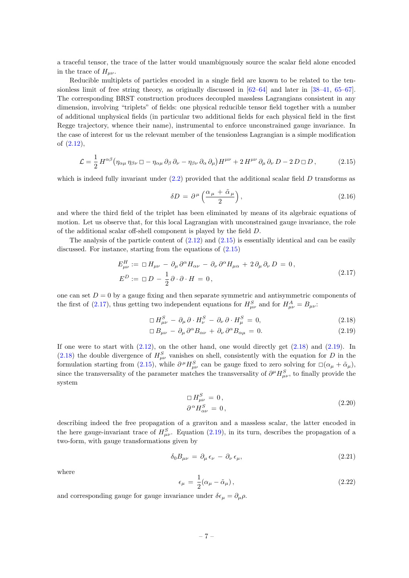a traceful tensor, the trace of the latter would unambiguously source the scalar field alone encoded in the trace of  $H_{\mu\nu}$ .

Reducible multiplets of particles encoded in a single field are known to be related to the tensionless limit of free string theory, as originally discussed in [\[62–](#page-25-8)[64\]](#page-25-9) and later in [\[38–](#page-24-3)[41,](#page-24-10) [65](#page-25-10)[–67\]](#page-25-11). The corresponding BRST construction produces decoupled massless Lagrangians consistent in any dimension, involving "triplets" of fields: one physical reducible tensor field together with a number of additional unphysical fields (in particular two additional fields for each physical field in the first Regge trajectory, whence their name), instrumental to enforce unconstrained gauge invariance. In the case of interest for us the relevant member of the tensionless Lagrangian is a simple modification of [\(2.12\)](#page-6-1),

<span id="page-7-0"></span>
$$
\mathcal{L} = \frac{1}{2} H^{\alpha\beta} \left( \eta_{\alpha\mu} \, \eta_{\beta\nu} \, \Box - \eta_{\alpha\mu} \, \partial_{\beta} \, \partial_{\nu} - \eta_{\beta\nu} \, \partial_{\alpha} \, \partial_{\mu} \right) H^{\mu\nu} + 2 \, H^{\mu\nu} \, \partial_{\mu} \, \partial_{\nu} \, D - 2 \, D \, \Box \, D \,, \tag{2.15}
$$

which is indeed fully invariant under  $(2.2)$  provided that the additional scalar field D transforms as

<span id="page-7-4"></span>
$$
\delta D = \partial^{\mu} \left( \frac{\alpha_{\mu} + \tilde{\alpha}_{\mu}}{2} \right), \tag{2.16}
$$

and where the third field of the triplet has been eliminated by means of its algebraic equations of motion. Let us observe that, for this local Lagrangian with unconstrained gauge invariance, the role of the additional scalar off-shell component is played by the field D.

The analysis of the particle content of  $(2.12)$  and  $(2.15)$  is essentially identical and can be easily discussed. For instance, starting from the equations of [\(2.15\)](#page-7-0)

$$
E_{\mu\nu}^{H} := \Box H_{\mu\nu} - \partial_{\mu} \partial^{\alpha} H_{\alpha\nu} - \partial_{\nu} \partial^{\alpha} H_{\mu\alpha} + 2 \partial_{\mu} \partial_{\nu} D = 0,
$$
  
\n
$$
E^{D} := \Box D - \frac{1}{2} \partial \cdot \partial \cdot H = 0,
$$
\n(2.17)

<span id="page-7-1"></span>one can set  $D = 0$  by a gauge fixing and then separate symmetric and antisymmetric components of the first of [\(2.17\)](#page-7-1), thus getting two independent equations for  $H_{\mu\nu}^{S}$  and for  $H_{\mu\nu}^{A} = B_{\mu\nu}$ :

$$
\Box H_{\mu\nu}^{S} - \partial_{\mu}\partial \cdot H_{\nu}^{S} - \partial_{\nu}\partial \cdot H_{\mu}^{S} = 0, \qquad (2.18)
$$

$$
\Box B_{\mu\nu} - \partial_{\mu} \partial^{\alpha} B_{\alpha\nu} + \partial_{\nu} \partial^{\alpha} B_{\alpha\mu} = 0. \qquad (2.19)
$$

If one were to start with  $(2.12)$ , on the other hand, one would directly get  $(2.18)$  and  $(2.19)$ . In [\(2.18\)](#page-7-2) the double divergence of  $H_{\mu\nu}^S$  vanishes on shell, consistently with the equation for D in the formulation starting from [\(2.15\)](#page-7-0), while  $\partial^{\mu}H^{S}_{\mu\nu}$  can be gauge fixed to zero solving for  $\square(\alpha_{\mu} + \tilde{\alpha}_{\mu}),$ since the transversality of the parameter matches the transversality of  $\partial^{\mu}H_{\mu\nu}^{S}$ , to finally provide the system

<span id="page-7-3"></span><span id="page-7-2"></span>
$$
\Box H_{\mu\nu}^{S} = 0, \n\partial^{\alpha} H_{\alpha\nu}^{S} = 0,
$$
\n(2.20)

describing indeed the free propagation of a graviton and a massless scalar, the latter encoded in the here gauge-invariant trace of  $H_{\mu\nu}^S$ . Equation [\(2.19\)](#page-7-3), in its turn, describes the propagation of a two-form, with gauge transformations given by

$$
\delta_0 B_{\mu\nu} = \partial_\mu \epsilon_\nu - \partial_\nu \epsilon_\mu,\tag{2.21}
$$

where

$$
\epsilon_{\mu} = \frac{1}{2} (\alpha_{\mu} - \tilde{\alpha}_{\mu}), \qquad (2.22)
$$

and corresponding gauge for gauge invariance under  $\delta \epsilon_{\mu} = \partial_{\mu} \rho$ .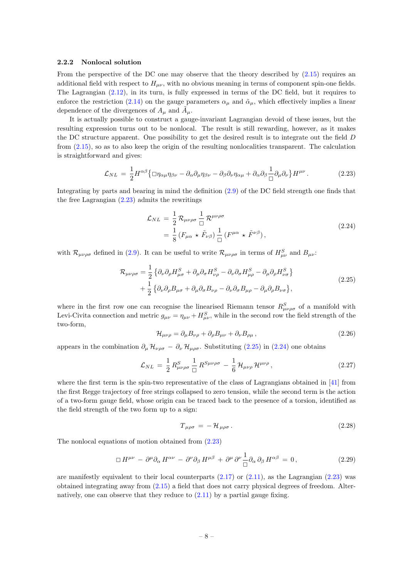#### 2.2.2 Nonlocal solution

From the perspective of the DC one may observe that the theory described by  $(2.15)$  requires an additional field with respect to  $H_{\mu\nu}$ , with no obvious meaning in terms of component spin-one fields. The Lagrangian [\(2.12\)](#page-6-1), in its turn, is fully expressed in terms of the DC field, but it requires to enforce the restriction [\(2.14\)](#page-6-2) on the gauge parameters  $\alpha_u$  and  $\tilde{\alpha}_u$ , which effectively implies a linear dependence of the divergences of  $A_\mu$  and  $\tilde{A}_\mu$ .

It is actually possible to construct a gauge-invariant Lagrangian devoid of these issues, but the resulting expression turns out to be nonlocal. The result is still rewarding, however, as it makes the DC structure apparent. One possibility to get the desired result is to integrate out the field D from [\(2.15\)](#page-7-0), so as to also keep the origin of the resulting nonlocalities transparent. The calculation is straightforward and gives:

<span id="page-8-0"></span>
$$
\mathcal{L}_{NL} = \frac{1}{2} H^{\alpha\beta} \{ \Box \eta_{\alpha\mu} \eta_{\beta\nu} - \partial_{\alpha} \partial_{\mu} \eta_{\beta\nu} - \partial_{\beta} \partial_{\nu} \eta_{\alpha\mu} + \partial_{\alpha} \partial_{\beta} \frac{1}{\Box} \partial_{\mu} \partial_{\nu} \} H^{\mu\nu}.
$$
 (2.23)

Integrating by parts and bearing in mind the definition [\(2.9\)](#page-5-5) of the DC field strength one finds that the free Lagrangian [\(2.23\)](#page-8-0) admits the rewritings

$$
\mathcal{L}_{NL} = \frac{1}{2} \mathcal{R}_{\mu\nu\rho\sigma} \frac{1}{\Box} \mathcal{R}^{\mu\nu\rho\sigma} \n= \frac{1}{8} \left( F_{\mu\alpha} \star \tilde{F}_{\nu\beta} \right) \frac{1}{\Box} \left( F^{\mu\alpha} \star \tilde{F}^{\nu\beta} \right),
$$
\n(2.24)

<span id="page-8-2"></span><span id="page-8-1"></span>with  $\mathcal{R}_{\mu\nu\rho\sigma}$  defined in [\(2.9\)](#page-5-5). It can be useful to write  $\mathcal{R}_{\mu\nu\rho\sigma}$  in terms of  $H_{\mu\nu}^S$  and  $B_{\mu\nu}$ :

$$
\mathcal{R}_{\mu\nu\rho\sigma} = \frac{1}{2} \left\{ \partial_{\nu} \partial_{\rho} H^{S}_{\mu\sigma} + \partial_{\mu} \partial_{\sigma} H^{S}_{\nu\rho} - \partial_{\nu} \partial_{\sigma} H^{S}_{\mu\rho} - \partial_{\mu} \partial_{\rho} H^{S}_{\nu\sigma} \right\} \n+ \frac{1}{2} \left\{ \partial_{\nu} \partial_{\rho} B_{\mu\sigma} + \partial_{\mu} \partial_{\sigma} B_{\nu\rho} - \partial_{\nu} \partial_{\sigma} B_{\mu\rho} - \partial_{\mu} \partial_{\rho} B_{\nu\sigma} \right\},
$$
\n(2.25)

where in the first row one can recognise the linearised Riemann tensor  $R_{\mu\nu\rho\sigma}^{S}$  of a manifold with Levi-Civita connection and metric  $g_{\mu\nu} = \eta_{\mu\nu} + H_{\mu\nu}^S$ , while in the second row the field strength of the two-form,

$$
\mathcal{H}_{\mu\nu\rho} = \partial_{\mu} B_{\nu\rho} + \partial_{\rho} B_{\mu\nu} + \partial_{\nu} B_{\rho\mu} \,, \tag{2.26}
$$

appears in the combination  $\partial_\mu \mathcal{H}_{\nu\rho\sigma} - \partial_\nu \mathcal{H}_{\mu\rho\sigma}$ . Substituting [\(2.25\)](#page-8-1) in [\(2.24\)](#page-8-2) one obtains

$$
\mathcal{L}_{NL} = \frac{1}{2} R_{\mu\nu\rho\sigma}^{S} \frac{1}{\Box} R^{S\mu\nu\rho\sigma} - \frac{1}{6} \mathcal{H}_{\mu\nu\rho} \mathcal{H}^{\mu\nu\rho} , \qquad (2.27)
$$

where the first term is the spin-two representative of the class of Lagrangians obtained in [\[41\]](#page-24-10) from the first Regge trajectory of free strings collapsed to zero tension, while the second term is the action of a two-form gauge field, whose origin can be traced back to the presence of a torsion, identified as the field strength of the two form up to a sign:

$$
T_{\mu\rho\sigma} = -\mathcal{H}_{\mu\rho\sigma} \,. \tag{2.28}
$$

The nonlocal equations of motion obtained from [\(2.23\)](#page-8-0)

<span id="page-8-3"></span>
$$
\Box H^{\mu\nu} - \partial^{\mu}\partial_{\alpha} H^{\alpha\nu} - \partial^{\nu}\partial_{\beta} H^{\mu\beta} + \partial^{\mu}\partial^{\nu}\frac{1}{\Box}\partial_{\alpha}\partial_{\beta} H^{\alpha\beta} = 0, \qquad (2.29)
$$

are manifestly equivalent to their local counterparts  $(2.17)$  or  $(2.11)$ , as the Lagrangian  $(2.23)$  was obtained integrating away from [\(2.15\)](#page-7-0) a field that does not carry physical degrees of freedom. Alternatively, one can observe that they reduce to [\(2.11\)](#page-6-3) by a partial gauge fixing.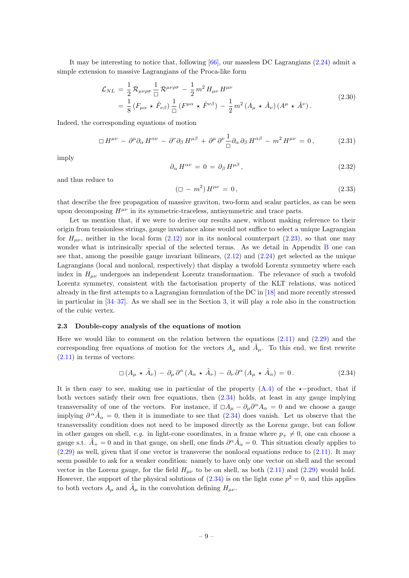It may be interesting to notice that, following  $[66]$ , our massless DC Lagrangians [\(2.24\)](#page-8-2) admit a simple extension to massive Lagrangians of the Proca-like form

$$
\mathcal{L}_{NL} = \frac{1}{2} \mathcal{R}_{\mu\nu\rho\sigma} \frac{1}{\Box} \mathcal{R}^{\mu\nu\rho\sigma} - \frac{1}{2} m^2 H_{\mu\nu} H^{\mu\nu}
$$
\n
$$
= \frac{1}{8} \left( F_{\mu\alpha} \star \tilde{F}_{\nu\beta} \right) \frac{1}{\Box} \left( F^{\mu\alpha} \star \tilde{F}^{\nu\beta} \right) - \frac{1}{2} m^2 \left( A_{\mu} \star \tilde{A}_{\nu} \right) \left( A^{\mu} \star \tilde{A}^{\nu} \right). \tag{2.30}
$$

<span id="page-9-5"></span>Indeed, the corresponding equations of motion

<span id="page-9-4"></span>
$$
\Box H^{\mu\nu} - \partial^{\mu}\partial_{\alpha} H^{\alpha\nu} - \partial^{\nu}\partial_{\beta} H^{\mu\beta} + \partial^{\mu}\partial^{\nu}\frac{1}{\Box}\partial_{\alpha}\partial_{\beta} H^{\alpha\beta} - m^{2} H^{\mu\nu} = 0, \qquad (2.31)
$$

imply

<span id="page-9-3"></span>
$$
\partial_{\alpha} H^{\alpha\nu} = 0 = \partial_{\beta} H^{\mu\beta}, \qquad (2.32)
$$

and thus reduce to

<span id="page-9-2"></span>
$$
(\Box - m^2) H^{\mu\nu} = 0, \qquad (2.33)
$$

that describe the free propagation of massive graviton, two-form and scalar particles, as can be seen upon decomposing  $H^{\mu\nu}$  in its symmetric-traceless, antisymmetric and trace parts.

Let us mention that, if we were to derive our results anew, without making reference to their origin from tensionless strings, gauge invariance alone would not suffice to select a unique Lagrangian for  $H_{\mu\nu}$ , neither in the local form [\(2.12\)](#page-6-1) nor in its nonlocal counterpart [\(2.23\)](#page-8-0), so that one may wonder what is intrinsically special of the selected terms. As we detail in Appendix [B](#page-20-0) one can see that, among the possible gauge invariant bilinears,  $(2.12)$  and  $(2.24)$  get selected as the unique Lagrangians (local and nonlocal, respectively) that display a twofold Lorentz symmetry where each index in  $H_{\mu\nu}$  undergoes an independent Lorentz transformation. The relevance of such a twofold Lorentz symmetry, consistent with the factorisation property of the KLT relations, was noticed already in the first attempts to a Lagrangian formulation of the DC in [\[18\]](#page-23-3) and more recently stressed in particular in [\[34–](#page-24-1)[37\]](#page-24-2). As we shall see in the Section [3,](#page-10-0) it will play a role also in the construction of the cubic vertex.

### <span id="page-9-0"></span>2.3 Double-copy analysis of the equations of motion

Here we would like to comment on the relation between the equations  $(2.11)$  and  $(2.29)$  and the corresponding free equations of motion for the vectors  $A_\mu$  and  $\tilde{A}_\mu$ . To this end, we first rewrite  $(2.11)$  in terms of vectors:

<span id="page-9-1"></span>
$$
\Box (A_{\mu} \star \tilde{A}_{\nu}) - \partial_{\mu} \partial^{\alpha} (A_{\alpha} \star \tilde{A}_{\nu}) - \partial_{\nu} \partial^{\alpha} (A_{\mu} \star \tilde{A}_{\alpha}) = 0.
$$
 (2.34)

It is then easy to see, making use in particular of the property  $(A.4)$  of the  $\star$ −product, that if both vectors satisfy their own free equations, then [\(2.34\)](#page-9-1) holds, at least in any gauge implying transversality of one of the vectors. For instance, if  $\Box A_{\mu} - \partial_{\mu} \partial^{\alpha} A_{\alpha} = 0$  and we choose a gauge implying  $\partial^{\alpha} \tilde{A}_{\alpha} = 0$ , then it is immediate to see that  $(2.34)$  does vanish. Let us observe that the transversality condition does not need to be imposed directly as the Lorenz gauge, but can follow in other gauges on shell, e.g. in light-cone coordinates, in a frame where  $p_{+} \neq 0$ , one can choose a gauge s.t.  $\tilde{A}_+ = 0$  and in that gauge, on shell, one finds  $\partial^\alpha \tilde{A}_\alpha = 0$ . This situation clearly applies to  $(2.29)$  as well, given that if one vector is transverse the nonlocal equations reduce to  $(2.11)$ . It may seem possible to ask for a weaker condition: namely to have only one vector on shell and the second vector in the Lorenz gauge, for the field  $H_{\mu\nu}$  to be on shell, as both [\(2.11\)](#page-6-3) and [\(2.29\)](#page-8-3) would hold. However, the support of the physical solutions of  $(2.34)$  is on the light cone  $p^2 = 0$ , and this applies to both vectors  $A_{\mu}$  and  $\tilde{A}_{\mu}$  in the convolution defining  $H_{\mu\nu}$ .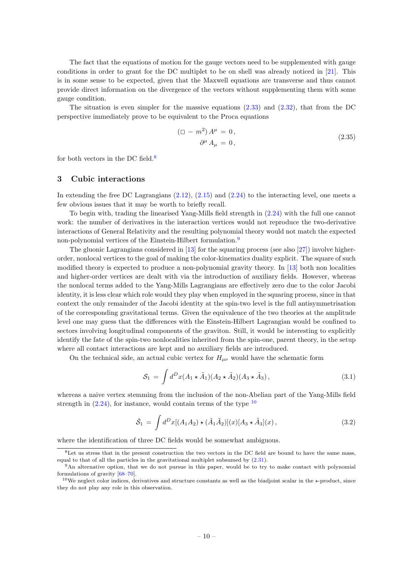The fact that the equations of motion for the gauge vectors need to be supplemented with gauge conditions in order to grant for the DC multiplet to be on shell was already noticed in [\[21\]](#page-23-6). This is in some sense to be expected, given that the Maxwell equations are transverse and thus cannot provide direct information on the divergence of the vectors without supplementing them with some gauge condition.

The situation is even simpler for the massive equations  $(2.33)$  and  $(2.32)$ , that from the DC perspective immediately prove to be equivalent to the Proca equations

$$
(\Box - m^2) A^{\mu} = 0,
$$
  
\n
$$
\partial^{\mu} A_{\mu} = 0,
$$
\n(2.35)

for both vectors in the DC field. $8$ 

# <span id="page-10-0"></span>3 Cubic interactions

In extending the free DC Lagrangians [\(2.12\)](#page-6-1), [\(2.15\)](#page-7-0) and [\(2.24\)](#page-8-2) to the interacting level, one meets a few obvious issues that it may be worth to briefly recall.

To begin with, trading the linearised Yang-Mills field strength in [\(2.24\)](#page-8-2) with the full one cannot work: the number of derivatives in the interaction vertices would not reproduce the two-derivative interactions of General Relativity and the resulting polynomial theory would not match the expected non-polynomial vertices of the Einstein-Hilbert formulation.<sup>[9](#page-10-2)</sup>

The gluonic Lagrangians considered in  $[13]$  for the squaring process (see also  $[27]$ ) involve higherorder, nonlocal vertices to the goal of making the color-kinematics duality explicit. The square of such modified theory is expected to produce a non-polynomial gravity theory. In [\[13\]](#page-23-1) both non localities and higher-order vertices are dealt with via the introduction of auxiliary fields. However, whereas the nonlocal terms added to the Yang-Mills Lagrangians are effectively zero due to the color Jacobi identity, it is less clear which role would they play when employed in the squaring process, since in that context the only remainder of the Jacobi identity at the spin-two level is the full antisymmetrisation of the corresponding gravitational terms. Given the equivalence of the two theories at the amplitude level one may guess that the differences with the Einstein-Hilbert Lagrangian would be confined to sectors involving longitudinal components of the graviton. Still, it would be interesting to explicitly identify the fate of the spin-two nonlocalities inherited from the spin-one, parent theory, in the setup where all contact interactions are kept and no auxiliary fields are introduced.

On the technical side, an actual cubic vertex for  $H_{\mu\nu}$  would have the schematic form

$$
S_1 = \int d^D x (A_1 \star \tilde{A}_1)(A_2 \star \tilde{A}_2)(A_3 \star \tilde{A}_3), \qquad (3.1)
$$

whereas a naive vertex stemming from the inclusion of the non-Abelian part of the Yang-Mills field strength in  $(2.24)$ , for instance, would contain terms of the type  $10$ 

$$
\hat{S}_1 = \int d^D x [(A_1 A_2) \star (\tilde{A}_1 \tilde{A}_2)](x) [A_3 \star \tilde{A}_3](x), \qquad (3.2)
$$

where the identification of three DC fields would be somewhat ambiguous.

<span id="page-10-1"></span><sup>8</sup>Let us stress that in the present construction the two vectors in the DC field are bound to have the same mass, equal to that of all the particles in the gravitational multiplet subsumed by [\(2.31\)](#page-9-4).

<span id="page-10-2"></span><sup>&</sup>lt;sup>9</sup>An alternative option, that we do not pursue in this paper, would be to try to make contact with polynomial formulations of gravity [\[68](#page-25-13)[–70\]](#page-25-14).

<span id="page-10-3"></span><sup>&</sup>lt;sup>10</sup>We neglect color indices, derivatives and structure constants as well as the biadjoint scalar in the  $\star$ -product, since they do not play any role in this observation.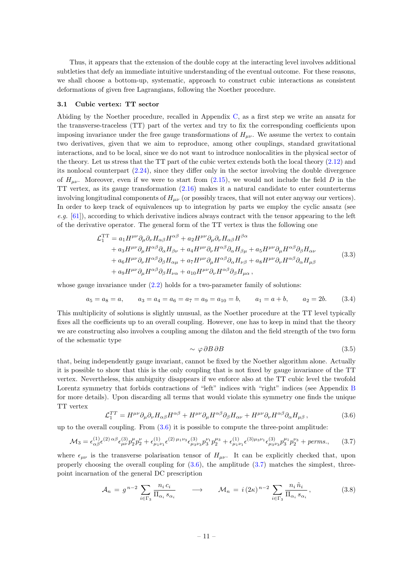Thus, it appears that the extension of the double copy at the interacting level involves additional subtleties that defy an immediate intuitive understanding of the eventual outcome. For these reasons, we shall choose a bottom-up, systematic, approach to construct cubic interactions as consistent deformations of given free Lagrangians, following the Noether procedure.

### <span id="page-11-0"></span>3.1 Cubic vertex: TT sector

Abiding by the Noether procedure, recalled in Appendix [C,](#page-20-1) as a first step we write an ansatz for the transverse-traceless (TT) part of the vertex and try to fix the corresponding coefficients upon imposing invariance under the free gauge transformations of  $H_{\mu\nu}$ . We assume the vertex to contain two derivatives, given that we aim to reproduce, among other couplings, standard gravitational interactions, and to be local, since we do not want to introduce nonlocalities in the physical sector of the theory. Let us stress that the TT part of the cubic vertex extends both the local theory [\(2.12\)](#page-6-1) and its nonlocal counterpart [\(2.24\)](#page-8-2), since they differ only in the sector involving the double divergence of  $H_{\mu\nu}$ . Moreover, even if we were to start from [\(2.15\)](#page-7-0), we would not include the field D in the TT vertex, as its gauge transformation [\(2.16\)](#page-7-4) makes it a natural candidate to enter counterterms involving longitudinal components of  $H_{\mu\nu}$  (or possibly traces, that will not enter anyway our vertices). In order to keep track of equivalences up to integration by parts we employ the cyclic ansatz (see e.g.  $[61]$ , according to which derivative indices always contract with the tensor appearing to the left of the derivative operator. The general form of the TT vertex is thus the following one

$$
\mathcal{L}_{1}^{TT} = a_{1}H^{\mu\nu}\partial_{\mu}\partial_{\nu}H_{\alpha\beta}H^{\alpha\beta} + a_{2}H^{\mu\nu}\partial_{\mu}\partial_{\nu}H_{\alpha\beta}H^{\beta\alpha} \n+ a_{3}H^{\mu\nu}\partial_{\mu}H^{\alpha\beta}\partial_{\alpha}H_{\beta\nu} + a_{4}H^{\mu\nu}\partial_{\nu}H^{\alpha\beta}\partial_{\alpha}H_{\beta\mu} + a_{5}H^{\mu\nu}\partial_{\mu}H^{\alpha\beta}\partial_{\beta}H_{\alpha\nu} \n+ a_{6}H^{\mu\nu}\partial_{\nu}H^{\alpha\beta}\partial_{\beta}H_{\alpha\mu} + a_{7}H^{\mu\nu}\partial_{\mu}H^{\alpha\beta}\partial_{\alpha}H_{\nu\beta} + a_{8}H^{\mu\nu}\partial_{\nu}H^{\alpha\beta}\partial_{\alpha}H_{\mu\beta} \n+ a_{9}H^{\mu\nu}\partial_{\mu}H^{\alpha\beta}\partial_{\beta}H_{\nu\alpha} + a_{10}H^{\mu\nu}\partial_{\nu}H^{\alpha\beta}\partial_{\beta}H_{\mu\alpha},
$$
\n(3.3)

whose gauge invariance under  $(2.2)$  holds for a two-parameter family of solutions:

$$
a_5 = a_8 = a
$$
,  $a_3 = a_4 = a_6 = a_7 = a_9 = a_{10} = b$ ,  $a_1 = a + b$ ,  $a_2 = 2b$ . (3.4)

This multiplicity of solutions is slightly unusual, as the Noether procedure at the TT level typically fixes all the coefficients up to an overall coupling. However, one has to keep in mind that the theory we are constructing also involves a coupling among the dilaton and the field strength of the two form of the schematic type

<span id="page-11-4"></span><span id="page-11-2"></span>
$$
\sim \varphi \, \partial B \, \partial B \tag{3.5}
$$

that, being independently gauge invariant, cannot be fixed by the Noether algorithm alone. Actually it is possible to show that this is the only coupling that is not fixed by gauge invariance of the TT vertex. Nevertheless, this ambiguity disappears if we enforce also at the TT cubic level the twofold Lorentz symmetry that forbids contractions of "left" indices with "right" indices (see Appendix [B](#page-20-0) for more details). Upon discarding all terms that would violate this symmetry one finds the unique TT vertex

<span id="page-11-1"></span>
$$
\mathcal{L}_1^{TT} = H^{\mu\nu}\partial_{\mu}\partial_{\nu}H_{\alpha\beta}H^{\alpha\beta} + H^{\mu\nu}\partial_{\mu}H^{\alpha\beta}\partial_{\beta}H_{\alpha\nu} + H^{\mu\nu}\partial_{\nu}H^{\alpha\beta}\partial_{\alpha}H_{\mu\beta}\,,\tag{3.6}
$$

up to the overall coupling. From  $(3.6)$  it is possible to compute the three-point amplitude:

$$
\mathcal{M}_3 = \epsilon_{\alpha\beta}^{(1)} \epsilon^{(2)\alpha\beta} \epsilon_{\mu\nu}^{(3)} p_2^{\mu} p_2^{\nu} + \epsilon_{\mu_1\nu_1}^{(1)} \epsilon^{(2)\mu_1\nu_3} \epsilon_{\mu_3\nu_3}^{(3)} p_3^{\nu_1} p_2^{\mu_3} + \epsilon_{\mu_1\nu_1}^{(1)} \epsilon^{(3)\mu_3\nu_1} \epsilon_{\mu_3\nu_3}^{(3)} p_3^{\mu_1} p_2^{\nu_3} + \text{perms.}, \quad (3.7)
$$

where  $\epsilon_{\mu\nu}$  is the transverse polarisation tensor of  $H_{\mu\nu}$ . It can be explicitly checked that, upon properly choosing the overall coupling for  $(3.6)$ , the amplitude  $(3.7)$  matches the simplest, threepoint incarnation of the general DC prescription

<span id="page-11-3"></span>
$$
\mathcal{A}_n = g^{n-2} \sum_{i \in \Gamma_3} \frac{n_i \, c_i}{\Pi_{\alpha_i} \, s_{\alpha_i}} \qquad \longrightarrow \qquad \mathcal{M}_n = i \, (2\kappa)^{n-2} \sum_{i \in \Gamma_3} \frac{n_i \, \tilde{n}_i}{\Pi_{\alpha_i} \, s_{\alpha_i}} \,, \tag{3.8}
$$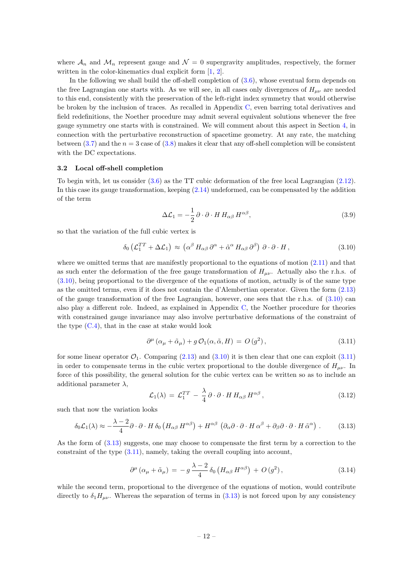where  $\mathcal{A}_n$  and  $\mathcal{M}_n$  represent gauge and  $\mathcal{N}=0$  supergravity amplitudes, respectively, the former written in the color-kinematics dual explicit form [\[1,](#page-22-0) [2\]](#page-22-1).

In the following we shall build the off-shell completion of  $(3.6)$ , whose eventual form depends on the free Lagrangian one starts with. As we will see, in all cases only divergences of  $H_{\mu\nu}$  are needed to this end, consistently with the preservation of the left-right index symmetry that would otherwise be broken by the inclusion of traces. As recalled in Appendix [C,](#page-20-1) even barring total derivatives and field redefinitions, the Noether procedure may admit several equivalent solutions whenever the free gauge symmetry one starts with is constrained. We will comment about this aspect in Section [4,](#page-15-0) in connection with the perturbative reconstruction of spacetime geometry. At any rate, the matching between [\(3.7\)](#page-11-2) and the  $n = 3$  case of [\(3.8\)](#page-11-3) makes it clear that any off-shell completion will be consistent with the DC expectations.

#### <span id="page-12-0"></span>3.2 Local off-shell completion

To begin with, let us consider [\(3.6\)](#page-11-1) as the TT cubic deformation of the free local Lagrangian [\(2.12\)](#page-6-1). In this case its gauge transformation, keeping [\(2.14\)](#page-6-2) undeformed, can be compensated by the addition of the term

<span id="page-12-4"></span>
$$
\Delta \mathcal{L}_1 = -\frac{1}{2} \partial \cdot \partial \cdot H H_{\alpha\beta} H^{\alpha\beta}, \qquad (3.9)
$$

so that the variation of the full cubic vertex is

<span id="page-12-1"></span>
$$
\delta_0 \left( \mathcal{L}_1^{TT} + \Delta \mathcal{L}_1 \right) \approx \left( \alpha^{\beta} \, H_{\alpha\beta} \, \partial^{\alpha} + \tilde{\alpha}^{\alpha} \, H_{\alpha\beta} \, \partial^{\beta} \right) \, \partial \cdot \partial \cdot H \,, \tag{3.10}
$$

where we omitted terms that are manifestly proportional to the equations of motion  $(2.11)$  and that as such enter the deformation of the free gauge transformation of  $H_{\mu\nu}$ . Actually also the r.h.s. of [\(3.10\)](#page-12-1), being proportional to the divergence of the equations of motion, actually is of the same type as the omitted terms, even if it does not contain the d'Alembertian operator. Given the form [\(2.13\)](#page-6-4) of the gauge transformation of the free Lagrangian, however, one sees that the r.h.s. of  $(3.10)$  can also play a different role. Indeed, as explained in Appendix [C,](#page-20-1) the Noether procedure for theories with constrained gauge invariance may also involve perturbative deformations of the constraint of the type  $(C.4)$ , that in the case at stake would look

<span id="page-12-2"></span>
$$
\partial^{\mu} (\alpha_{\mu} + \tilde{\alpha}_{\mu}) + g \mathcal{O}_1(\alpha, \tilde{\alpha}, H) = O(g^2), \qquad (3.11)
$$

for some linear operator  $\mathcal{O}_1$ . Comparing [\(2.13\)](#page-6-4) and [\(3.10\)](#page-12-1) it is then clear that one can exploit [\(3.11\)](#page-12-2) in order to compensate terms in the cubic vertex proportional to the double divergence of  $H_{\mu\nu}$ . In force of this possibility, the general solution for the cubic vertex can be written so as to include an additional parameter  $\lambda$ ,

$$
\mathcal{L}_1(\lambda) = \mathcal{L}_1^{TT} - \frac{\lambda}{4} \partial \cdot \partial \cdot H H_{\alpha\beta} H^{\alpha\beta}, \qquad (3.12)
$$

such that now the variation looks

<span id="page-12-3"></span>
$$
\delta_0 \mathcal{L}_1(\lambda) \approx -\frac{\lambda - 2}{4} \partial \cdot \partial \cdot H \, \delta_0 \left( H_{\alpha\beta} \, H^{\alpha\beta} \right) + H^{\alpha\beta} \left( \partial_\alpha \partial \cdot \partial \cdot H \, \alpha^\beta + \partial_\beta \partial \cdot \partial \cdot H \, \tilde{\alpha}^\alpha \right) \,. \tag{3.13}
$$

As the form of [\(3.13\)](#page-12-3) suggests, one may choose to compensate the first term by a correction to the constraint of the type [\(3.11\)](#page-12-2), namely, taking the overall coupling into account,

$$
\partial^{\mu} \left( \alpha_{\mu} + \tilde{\alpha}_{\mu} \right) = -g \frac{\lambda - 2}{4} \delta_0 \left( H_{\alpha\beta} H^{\alpha\beta} \right) + O \left( g^2 \right), \tag{3.14}
$$

while the second term, proportional to the divergence of the equations of motion, would contribute directly to  $\delta_1 H_{\mu\nu}$ . Whereas the separation of terms in [\(3.13\)](#page-12-3) is not forced upon by any consistency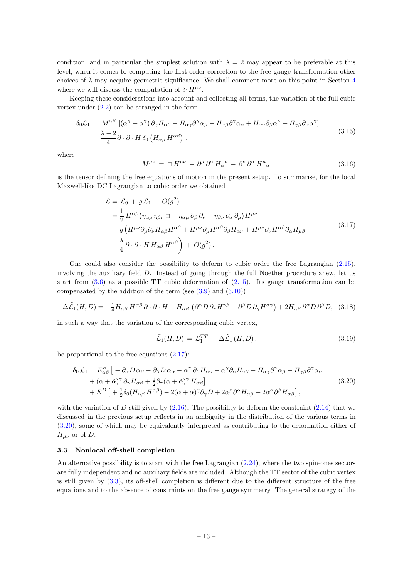condition, and in particular the simplest solution with  $\lambda = 2$  may appear to be preferable at this level, when it comes to computing the first-order correction to the free gauge transformation other choices of  $\lambda$  may acquire geometric significance. We shall comment more on this point in Section [4](#page-15-0) where we will discuss the computation of  $\delta_1 H^{\mu\nu}$ .

Keeping these considerations into account and collecting all terms, the variation of the full cubic vertex under [\(2.2\)](#page-4-3) can be arranged in the form

$$
\delta_0 \mathcal{L}_1 = M^{\alpha \beta} \left[ (\alpha^{\gamma} + \tilde{\alpha}^{\gamma}) \partial_{\gamma} H_{\alpha \beta} - H_{\alpha \gamma} \partial^{\gamma} \alpha_{\beta} - H_{\gamma \beta} \partial^{\gamma} \tilde{\alpha}_{\alpha} + H_{\alpha \gamma} \partial_{\beta} \alpha^{\gamma} + H_{\gamma \beta} \partial_{\alpha} \tilde{\alpha}^{\gamma} \right] - \frac{\lambda - 2}{4} \partial \cdot \partial \cdot H \, \delta_0 \left( H_{\alpha \beta} H^{\alpha \beta} \right) ,
$$
\n(3.15)

where

<span id="page-13-3"></span>
$$
M^{\mu\nu} = \Box H^{\mu\nu} - \partial^{\mu}\partial^{\alpha} H_{\alpha}{}^{\nu} - \partial^{\nu}\partial^{\alpha} H^{\mu}{}_{\alpha} \tag{3.16}
$$

is the tensor defining the free equations of motion in the present setup. To summarise, for the local Maxwell-like DC Lagrangian to cubic order we obtained

$$
\mathcal{L} = \mathcal{L}_0 + g \mathcal{L}_1 + O(g^2)
$$
\n
$$
= \frac{1}{2} H^{\alpha\beta} (\eta_{\alpha\mu} \eta_{\beta\nu} \Box - \eta_{\alpha\mu} \partial_\beta \partial_\nu - \eta_{\beta\nu} \partial_\alpha \partial_\mu) H^{\mu\nu}
$$
\n
$$
+ g (H^{\mu\nu} \partial_\mu \partial_\nu H_{\alpha\beta} H^{\alpha\beta} + H^{\mu\nu} \partial_\mu H^{\alpha\beta} \partial_\beta H_{\alpha\nu} + H^{\mu\nu} \partial_\nu H^{\alpha\beta} \partial_\alpha H_{\mu\beta} \qquad (3.17)
$$
\n
$$
- \frac{\lambda}{4} \partial \cdot \partial \cdot H H_{\alpha\beta} H^{\alpha\beta} \bigg) + O(g^2).
$$

<span id="page-13-2"></span>One could also consider the possibility to deform to cubic order the free Lagrangian [\(2.15\)](#page-7-0), involving the auxiliary field D. Instead of going through the full Noether procedure anew, let us start from  $(3.6)$  as a possible TT cubic deformation of  $(2.15)$ . Its gauge transformation can be compensated by the addition of the term (see  $(3.9)$ ) and  $(3.10)$ )

$$
\Delta \tilde{\mathcal{L}}_1(H, D) = -\frac{1}{4} H_{\alpha\beta} H^{\alpha\beta} \partial \cdot \partial \cdot H - H_{\alpha\beta} \left( \partial^{\alpha} D \partial_{\gamma} H^{\gamma\beta} + \partial^{\beta} D \partial_{\gamma} H^{\alpha\gamma} \right) + 2 H_{\alpha\beta} \partial^{\alpha} D \partial^{\beta} D, \quad (3.18)
$$

in such a way that the variation of the corresponding cubic vertex,

<span id="page-13-1"></span>
$$
\tilde{\mathcal{L}}_1(H, D) = \mathcal{L}_1^{TT} + \Delta \tilde{\mathcal{L}}_1(H, D), \qquad (3.19)
$$

be proportional to the free equations [\(2.17\)](#page-7-1):

$$
\delta_0 \tilde{\mathcal{L}}_1 = E_{\alpha\beta}^H \left[ -\partial_{\alpha} D \alpha_{\beta} - \partial_{\beta} D \tilde{\alpha}_{\alpha} - \alpha^{\gamma} \partial_{\beta} H_{\alpha\gamma} - \tilde{\alpha}^{\gamma} \partial_{\alpha} H_{\gamma\beta} - H_{\alpha\gamma} \partial^{\gamma} \alpha_{\beta} - H_{\gamma\beta} \partial^{\gamma} \tilde{\alpha}_{\alpha} \right] + (\alpha + \tilde{\alpha})^{\gamma} \partial_{\gamma} H_{\alpha\beta} + \frac{1}{2} \partial_{\gamma} (\alpha + \tilde{\alpha})^{\gamma} H_{\alpha\beta} \left] + E^{D} \left[ + \frac{1}{2} \delta_0 (H_{\alpha\beta} H^{\alpha\beta}) - 2(\alpha + \tilde{\alpha})^{\gamma} \partial_{\gamma} D + 2\alpha^{\beta} \partial^{\alpha} H_{\alpha\beta} + 2\tilde{\alpha}^{\alpha} \partial^{\beta} H_{\alpha\beta} \right],
$$
\n(3.20)

with the variation of D still given by  $(2.16)$ . The possibility to deform the constraint  $(2.14)$  that we discussed in the previous setup reflects in an ambiguity in the distribution of the various terms in [\(3.20\)](#page-13-1), some of which may be equivalently interpreted as contributing to the deformation either of  $H_{\mu\nu}$  or of D.

## <span id="page-13-0"></span>3.3 Nonlocal off-shell completion

An alternative possibility is to start with the free Lagrangian [\(2.24\)](#page-8-2), where the two spin-ones sectors are fully independent and no auxiliary fields are included. Although the TT sector of the cubic vertex is still given by  $(3.3)$ , its off-shell completion is different due to the different structure of the free equations and to the absence of constraints on the free gauge symmetry. The general strategy of the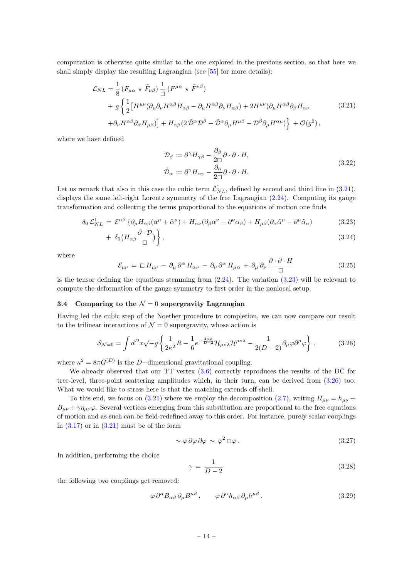computation is otherwise quite similar to the one explored in the previous section, so that here we shall simply display the resulting Lagrangian (see [\[55\]](#page-25-2) for more details):

$$
\mathcal{L}_{NL} = \frac{1}{8} \left( F_{\mu\alpha} \star \tilde{F}_{\nu\beta} \right) \frac{1}{\Box} \left( F^{\mu\alpha} \star \tilde{F}^{\nu\beta} \right) \n+ g \left\{ \frac{1}{2} \left[ H^{\mu\nu} (\partial_{\mu}\partial_{\nu}H^{\alpha\beta}H_{\alpha\beta} - \partial_{\mu}H^{\alpha\beta}\partial_{\nu}H_{\alpha\beta}) + 2H^{\mu\nu} (\partial_{\mu}H^{\alpha\beta}\partial_{\beta}H_{\alpha\nu}) \right. \n+ \partial_{\nu}H^{\alpha\beta}\partial_{\alpha}H_{\mu\beta} \right) \right\} + H_{\alpha\beta} (2 \tilde{\mathcal{D}}^{\alpha} \mathcal{D}^{\beta} - \tilde{\mathcal{D}}^{\alpha}\partial_{\mu}H^{\mu\beta} - \mathcal{D}^{\beta}\partial_{\mu}H^{\alpha\mu} ) \right\} + \mathcal{O}(g^2) ,
$$
\n(3.21)

<span id="page-14-1"></span>where we have defined

<span id="page-14-2"></span>
$$
\mathcal{D}_{\beta} := \partial^{\gamma} H_{\gamma\beta} - \frac{\partial_{\beta}}{2\Box} \partial \cdot \partial \cdot H,
$$
  
\n
$$
\tilde{\mathcal{D}}_{\alpha} := \partial^{\gamma} H_{\alpha\gamma} - \frac{\partial_{\alpha}}{2\Box} \partial \cdot \partial \cdot H.
$$
\n(3.22)

Let us remark that also in this case the cubic term  $\mathcal{L}_{NL}^1$ , defined by second and third line in [\(3.21\)](#page-14-1), displays the same left-right Lorentz symmetry of the free Lagrangian  $(2.24)$ . Computing its gauge transformation and collecting the terms proportional to the equations of motion one finds

$$
\delta_0 \mathcal{L}_{NL}^1 = \mathcal{E}^{\alpha\beta} \left\{ \partial_\mu H_{\alpha\beta} (\alpha^\mu + \tilde{\alpha}^\mu) + H_{\alpha\nu} (\partial_\beta \alpha^\nu - \partial^\nu \alpha_\beta) + H_{\mu\beta} (\partial_\alpha \tilde{\alpha}^\mu - \partial^\mu \tilde{\alpha}_\alpha) \right\}
$$
(3.23)

$$
+\delta_0 \left( H_{\alpha\beta} \frac{\partial \cdot \mathcal{D}}{\Box} \right) \bigg\},\tag{3.24}
$$

where

$$
\mathcal{E}_{\mu\nu} = \Box H_{\mu\nu} - \partial_{\mu}\partial^{\alpha} H_{\alpha\nu} - \partial_{\nu}\partial^{\alpha} H_{\mu\alpha} + \partial_{\mu}\partial_{\nu}\frac{\partial \cdot \partial \cdot H}{\Box} \tag{3.25}
$$

is the tensor defining the equations stemming from [\(2.24\)](#page-8-2). The variation [\(3.23\)](#page-14-2) will be relevant to compute the deformation of the gauge symmetry to first order in the nonlocal setup.

# <span id="page-14-0"></span>3.4 Comparing to the  $\mathcal{N}=0$  supergravity Lagrangian

Having led the cubic step of the Noether procedure to completion, we can now compare our result to the trilinear interactions of  $\mathcal{N} = 0$  supergravity, whose action is

$$
\mathcal{S}_{\mathcal{N}=0} = \int d^D x \sqrt{-g} \left\{ \frac{1}{2\kappa^2} R - \frac{1}{6} e^{-\frac{4\kappa\varphi}{D-2}} \mathcal{H}_{\mu\nu\lambda} \mathcal{H}^{\mu\nu\lambda} - \frac{1}{2(D-2)} \partial_\mu \varphi \partial^\mu \varphi \right\},\qquad(3.26)
$$

where  $\kappa^2 = 8\pi G^{(D)}$  is the D-dimensional gravitational coupling.

We already observed that our TT vertex  $(3.6)$  correctly reproduces the results of the DC for tree-level, three-point scattering amplitudes which, in their turn, can be derived from [\(3.26\)](#page-14-3) too. What we would like to stress here is that the matching extends off-shell.

To this end, we focus on [\(3.21\)](#page-14-1) where we employ the decomposition [\(2.7\)](#page-5-2), writing  $H_{\mu\nu} = h_{\mu\nu} +$  $B_{\mu\nu} + \gamma \eta_{\mu\nu}\varphi$ . Several vertices emerging from this substitution are proportional to the free equations of motion and as such can be field-redefined away to this order. For instance, purely scalar couplings in  $(3.17)$  or in  $(3.21)$  must be of the form

<span id="page-14-3"></span>
$$
\sim \varphi \,\partial \varphi \,\partial \varphi \sim \varphi^2 \,\Box \varphi \,.
$$
\n(3.27)

In addition, performing the choice

<span id="page-14-4"></span>
$$
\gamma = \frac{1}{D - 2} \tag{3.28}
$$

the following two couplings get removed:

$$
\varphi \, \partial^{\alpha} B_{\alpha\beta} \, \partial_{\mu} B^{\mu\beta} \,, \qquad \varphi \, \partial^{\alpha} h_{\alpha\beta} \, \partial_{\mu} h^{\mu\beta} \,. \tag{3.29}
$$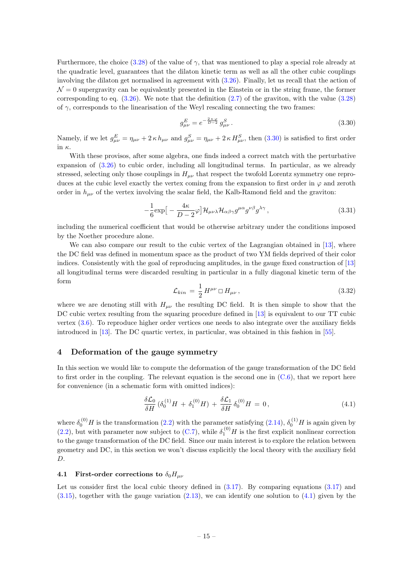Furthermore, the choice [\(3.28\)](#page-14-4) of the value of  $\gamma$ , that was mentioned to play a special role already at the quadratic level, guarantees that the dilaton kinetic term as well as all the other cubic couplings involving the dilaton get normalised in agreement with [\(3.26\)](#page-14-3). Finally, let us recall that the action of  $\mathcal{N}=0$  supergravity can be equivalently presented in the Einstein or in the string frame, the former corresponding to eq.  $(3.26)$ . We note that the definition  $(2.7)$  of the graviton, with the value  $(3.28)$ of  $\gamma$ , corresponds to the linearisation of the Weyl rescaling connecting the two frames:

<span id="page-15-2"></span>
$$
g_{\mu\nu}^{E} = e^{-\frac{2\,\kappa\,\varphi}{D-2}} \, g_{\mu\nu}^{S} \,. \tag{3.30}
$$

Namely, if we let  $g_{\mu\nu}^E = \eta_{\mu\nu} + 2 \kappa h_{\mu\nu}$  and  $g_{\mu\nu}^S = \eta_{\mu\nu} + 2 \kappa H_{\mu\nu}^S$ , then  $(3.30)$  is satisfied to first order in κ.

With these provisos, after some algebra, one finds indeed a correct match with the perturbative expansion of [\(3.26\)](#page-14-3) to cubic order, including all longitudinal terms. In particular, as we already stressed, selecting only those couplings in  $H_{\mu\nu}$  that respect the twofold Lorentz symmetry one reproduces at the cubic level exactly the vertex coming from the expansion to first order in  $\varphi$  and zeroth order in  $h_{\mu\nu}$  of the vertex involving the scalar field, the Kalb-Ramond field and the graviton:

$$
-\frac{1}{6}\exp\big[-\frac{4\kappa}{D-2}\varphi\big]\mathcal{H}_{\mu\nu\lambda}\mathcal{H}_{\alpha\beta\gamma}g^{\mu\alpha}g^{\nu\beta}g^{\lambda\gamma}\,,\tag{3.31}
$$

including the numerical coefficient that would be otherwise arbitrary under the conditions imposed by the Noether procedure alone.

We can also compare our result to the cubic vertex of the Lagrangian obtained in [\[13\]](#page-23-1), where the DC field was defined in momentum space as the product of two YM fields deprived of their color indices. Consistently with the goal of reproducing amplitudes, in the gauge fixed construction of [\[13\]](#page-23-1) all longitudinal terms were discarded resulting in particular in a fully diagonal kinetic term of the form

$$
\mathcal{L}_{kin} = \frac{1}{2} H^{\mu\nu} \sqcup H_{\mu\nu} , \qquad (3.32)
$$

where we are denoting still with  $H_{\mu\nu}$  the resulting DC field. It is then simple to show that the DC cubic vertex resulting from the squaring procedure defined in [\[13\]](#page-23-1) is equivalent to our TT cubic vertex [\(3.6\)](#page-11-1). To reproduce higher order vertices one needs to also integrate over the auxiliary fields introduced in [\[13\]](#page-23-1). The DC quartic vertex, in particular, was obtained in this fashion in [\[55\]](#page-25-2).

# <span id="page-15-0"></span>4 Deformation of the gauge symmetry

In this section we would like to compute the deformation of the gauge transformation of the DC field to first order in the coupling. The relevant equation is the second one in  $(C.6)$ , that we report here for convenience (in a schematic form with omitted indices):

<span id="page-15-3"></span>
$$
\frac{\delta \mathcal{L}_0}{\delta H} \left( \delta_0^{(1)} H + \delta_1^{(0)} H \right) + \frac{\delta \mathcal{L}_1}{\delta H} \delta_0^{(0)} H = 0, \tag{4.1}
$$

where  $\delta_0^{(0)}H$  is the transformation [\(2.2\)](#page-4-3) with the parameter satisfying [\(2.14\)](#page-6-2),  $\delta_0^{(1)}H$  is again given by [\(2.2\)](#page-4-3), but with parameter now subject to [\(C.7\)](#page-21-2), while  $\delta_1^{(0)}H$  is the first explicit nonlinear correction to the gauge transformation of the DC field. Since our main interest is to explore the relation between geometry and DC, in this section we won't discuss explicitly the local theory with the auxiliary field D.

### <span id="page-15-1"></span>4.1 First-order corrections to  $\delta_0 H_{\mu\nu}$

Let us consider first the local cubic theory defined in  $(3.17)$ . By comparing equations  $(3.17)$  and  $(3.15)$ , together with the gauge variation  $(2.13)$ , we can identify one solution to  $(4.1)$  given by the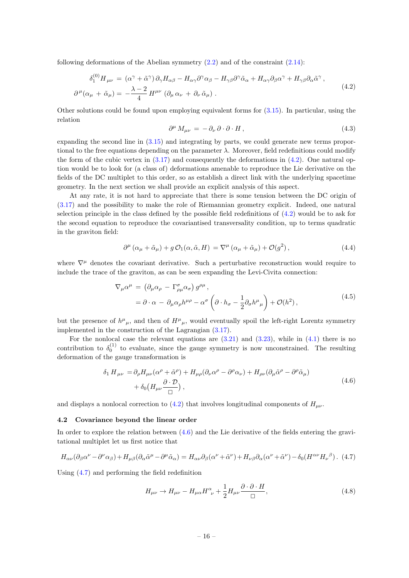following deformations of the Abelian symmetry [\(2.2\)](#page-4-3) and of the constraint [\(2.14\)](#page-6-2):

<span id="page-16-1"></span>
$$
\delta_1^{(0)} H_{\mu\nu} = (\alpha^\gamma + \tilde{\alpha}^\gamma) \partial_\gamma H_{\alpha\beta} - H_{\alpha\gamma} \partial^\gamma \alpha_\beta - H_{\gamma\beta} \partial^\gamma \tilde{\alpha}_\alpha + H_{\alpha\gamma} \partial_\beta \alpha^\gamma + H_{\gamma\beta} \partial_\alpha \tilde{\alpha}^\gamma ,
$$
\n
$$
\partial^\mu (\alpha_\mu + \tilde{\alpha}_\mu) = -\frac{\lambda - 2}{4} H^{\mu\nu} (\partial_\mu \alpha_\nu + \partial_\nu \tilde{\alpha}_\mu) .
$$
\n(4.2)

Other solutions could be found upon employing equivalent forms for  $(3.15)$ . In particular, using the relation

$$
\partial^{\mu} M_{\mu\nu} = -\partial_{\nu} \partial \cdot \partial \cdot H, \qquad (4.3)
$$

expanding the second line in [\(3.15\)](#page-13-3) and integrating by parts, we could generate new terms proportional to the free equations depending on the parameter  $\lambda$ . Moreover, field redefinitions could modify the form of the cubic vertex in  $(3.17)$  and consequently the deformations in  $(4.2)$ . One natural option would be to look for (a class of) deformations amenable to reproduce the Lie derivative on the fields of the DC multiplet to this order, so as establish a direct link with the underlying spacetime geometry. In the next section we shall provide an explicit analysis of this aspect.

At any rate, it is not hard to appreciate that there is some tension between the DC origin of [\(3.17\)](#page-13-2) and the possibility to make the role of Riemannian geometry explicit. Indeed, one natural selection principle in the class defined by the possible field redefinitions of  $(4.2)$  would be to ask for the second equation to reproduce the covariantised transversality condition, up to terms quadratic in the graviton field:

$$
\partial^{\mu} (\alpha_{\mu} + \tilde{\alpha}_{\mu}) + g \mathcal{O}_1(\alpha, \tilde{\alpha}, H) = \nabla^{\mu} (\alpha_{\mu} + \tilde{\alpha}_{\mu}) + \mathcal{O}(g^2), \qquad (4.4)
$$

where  $\nabla^{\mu}$  denotes the covariant derivative. Such a perturbative reconstruction would require to include the trace of the graviton, as can be seen expanding the Levi-Civita connection:

$$
\nabla_{\mu}\alpha^{\mu} = (\partial_{\mu}\alpha_{\rho} - \Gamma^{\sigma}_{\rho\mu}\alpha_{\sigma}) g^{\rho\mu},
$$
  
=  $\partial \cdot \alpha - \partial_{\mu}\alpha_{\rho}h^{\mu\rho} - \alpha^{\sigma} \left(\partial \cdot h_{\sigma} - \frac{1}{2}\partial_{\sigma}h^{\mu}{}_{\mu}\right) + \mathcal{O}(h^{2}),$  (4.5)

but the presence of  $h^{\mu}{}_{\mu}$ , and then of  $H^{\mu}{}_{\mu}$ , would eventually spoil the left-right Lorentz symmetry implemented in the construction of the Lagrangian [\(3.17\)](#page-13-2).

For the nonlocal case the relevant equations are  $(3.21)$  and  $(3.23)$ , while in  $(4.1)$  there is no contribution to  $\delta_0^{(1)}$  to evaluate, since the gauge symmetry is now unconstrained. The resulting deformation of the gauge transformation is

$$
\delta_1 H_{\mu\nu} = \partial_{\rho} H_{\mu\nu} (\alpha^{\rho} + \tilde{\alpha}^{\rho}) + H_{\mu\rho} (\partial_{\nu} \alpha^{\rho} - \partial^{\rho} \alpha_{\nu}) + H_{\rho\nu} (\partial_{\mu} \tilde{\alpha}^{\rho} - \partial^{\rho} \tilde{\alpha}_{\mu}) + \delta_0 (H_{\mu\nu} \frac{\partial \cdot \mathcal{D}}{\Box}),
$$
\n(4.6)

<span id="page-16-2"></span>and displays a nonlocal correction to  $(4.2)$  that involves longitudinal components of  $H_{\mu\nu}$ .

### <span id="page-16-0"></span>4.2 Covariance beyond the linear order

In order to explore the relation between [\(4.6\)](#page-16-2) and the Lie derivative of the fields entering the gravitational multiplet let us first notice that

<span id="page-16-3"></span>
$$
H_{\alpha\nu}(\partial_{\beta}\alpha^{\nu}-\partial^{\nu}\alpha_{\beta})+H_{\mu\beta}(\partial_{\alpha}\tilde{\alpha}^{\mu}-\partial^{\mu}\tilde{\alpha}_{\alpha})=H_{\alpha\nu}\partial_{\beta}(\alpha^{\nu}+\tilde{\alpha}^{\nu})+H_{\nu\beta}\partial_{\alpha}(\alpha^{\nu}+\tilde{\alpha}^{\nu})-\delta_{0}(H^{\alpha\nu}H_{\nu}^{\beta}).
$$
 (4.7)

Using [\(4.7\)](#page-16-3) and performing the field redefinition

<span id="page-16-4"></span>
$$
H_{\mu\nu} \to H_{\mu\nu} - H_{\mu\alpha} H^{\alpha}_{\ \nu} + \frac{1}{2} H_{\mu\nu} \frac{\partial \cdot \partial \cdot H}{\Box},\tag{4.8}
$$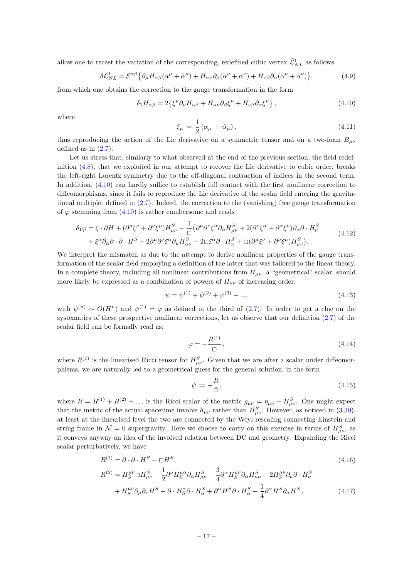allow one to recast the variation of the corresponding, redefined cubic vertex  $\tilde{\mathcal{L}}_{NL}^1$  as follows

$$
\delta \tilde{\mathcal{L}}_{NL}^1 = \mathcal{E}^{\alpha\beta} \{ \partial_\mu H_{\alpha\beta} (\alpha^\mu + \tilde{\alpha}^\mu) + H_{\alpha\nu} \partial_\beta (\alpha^\nu + \tilde{\alpha}^\nu) + H_{\nu\beta} \partial_\alpha (\alpha^\nu + \tilde{\alpha}^\nu) \},\tag{4.9}
$$

from which one obtains the correction to the gauge transformation in the form

<span id="page-17-0"></span>
$$
\delta_1 H_{\alpha\beta} = 2 \{ \xi^{\nu} \partial_{\nu} H_{\alpha\beta} + H_{\alpha\nu} \partial_{\beta} \xi^{\nu} + H_{\nu\beta} \partial_{\alpha} \xi^{\nu} \}, \qquad (4.10)
$$

where

$$
\xi_{\mu} = \frac{1}{2} \left( \alpha_{\mu} + \tilde{\alpha}_{\mu} \right),\tag{4.11}
$$

thus reproducing the action of the Lie derivative on a symmetric tensor and on a two-form  $B_{\mu\nu}$ defined as in  $(2.7)$ .

Let us stress that, similarly to what observed at the end of the previous section, the field redefinition [\(4.8\)](#page-16-4), that we exploited in our attempt to recover the Lie derivative to cubic order, breaks the left-right Lorentz symmetry due to the off-diagonal contraction of indices in the second term. In addition,  $(4.10)$  can hardly suffice to establish full contact with the first nonlinear correction to diffeomorphisms, since it fails to reproduce the Lie derivative of the scalar field entering the gravitational multiplet defined in [\(2.7\)](#page-5-2). Indeed, the correction to the (vanishing) free gauge transformation of  $\varphi$  stemming from [\(4.10\)](#page-17-0) is rather cumbersome and reads

<span id="page-17-3"></span>
$$
\delta_1 \varphi = \xi \cdot \partial H + (\partial^{\mu} \xi^{\nu} + \partial^{\nu} \xi^{\mu}) H^{S}_{\mu\nu} - \frac{1}{\Box} (\partial^{\mu} \partial^{\nu} \xi^{\alpha} \partial_{\alpha} H^{S}_{\mu\nu} + 2 (\partial^{\nu} \xi^{\alpha} + \partial^{\alpha} \xi^{\nu}) \partial_{\alpha} \partial \cdot H^{S}_{\nu} + \xi^{\alpha} \partial_{\alpha} \partial \cdot \partial \cdot H^{S} + 2 \partial^{\mu} \partial^{\nu} \xi^{\alpha} \partial_{\mu} H^{S}_{\alpha\nu} + 2 \Box \xi^{\alpha} \partial \cdot H^{S}_{\alpha} + \Box (\partial^{\mu} \xi^{\nu} + \partial^{\nu} \xi^{\mu}) H^{S}_{\mu\nu}).
$$
\n(4.12)

We interpret the mismatch as due to the attempt to derive nonlinear properties of the gauge transformation of the scalar field employing a definition of the latter that was tailored to the linear theory. In a complete theory, including all nonlinear contributions from  $H_{\mu\nu}$ , a "geometrical" scalar, should more likely be expressed as a combination of powers of  $H_{\mu\nu}$  of increasing order:

$$
\psi = \psi^{(1)} + \psi^{(2)} + \psi^{(3)} + \dots,\tag{4.13}
$$

with  $\psi^{(n)} \sim O(H^n)$  and  $\psi^{(1)} = \varphi$  as defined in the third of [\(2.7\)](#page-5-2). In order to get a clue on the systematics of these prospective nonlinear corrections, let us observe that our definition [\(2.7\)](#page-5-2) of the scalar field can be formally read as:

$$
\varphi = -\frac{R^{(1)}}{\Box} \,,\tag{4.14}
$$

where  $R^{(1)}$  is the linearised Ricci tensor for  $H_{\mu\nu}^S$ . Given that we are after a scalar under diffeomorphisms, we are naturally led to a geometrical guess for the general solution, in the form

<span id="page-17-2"></span><span id="page-17-1"></span>
$$
\psi := -\frac{R}{\hat{\Box}},\tag{4.15}
$$

where  $R = R^{(1)} + R^{(2)} + \ldots$  is the Ricci scalar of the metric  $g_{\mu\nu} = \eta_{\mu\nu} + H_{\mu\nu}^S$ . One might expect that the metric of the actual spacetime involve  $h_{\mu\nu}$  rather than  $H_{\mu\nu}^{S}$ . However, as noticed in [\(3.30\)](#page-15-2), at least at the linearised level the two are connected by the Weyl rescaling connecting Einstein and string frame in  $\mathcal{N}=0$  supergravity. Here we choose to carry on this exercise in terms of  $H_{\mu\nu}^S$ , as it conveys anyway an idea of the involved relation between DC and geometry. Expanding the Ricci scalar perturbatively, we have

$$
R^{(1)} = \partial \cdot \partial \cdot H^S - \Box H^S,\tag{4.16}
$$

$$
R^{(2)} = H_S^{\mu\nu} \Box H_{\mu\nu}^S - \frac{1}{2} \partial^{\nu} H_S^{\mu\alpha} \partial_{\alpha} H_{\mu\nu}^S + \frac{3}{4} \partial^{\alpha} H_S^{\mu\nu} \partial_{\alpha} H_{\mu\nu}^S - 2 H_S^{\mu\nu} \partial_{\mu} \partial \cdot H_{\nu}^S
$$
  
+ 
$$
H_S^{\mu\nu} \partial_{\mu} \partial_{\nu} H^S - \partial \cdot H_S^{\alpha} \partial \cdot H_{\alpha}^S + \partial^{\alpha} H^S \partial \cdot H_{\alpha}^S - \frac{1}{4} \partial^{\alpha} H^S \partial_{\alpha} H^S , \qquad (4.17)
$$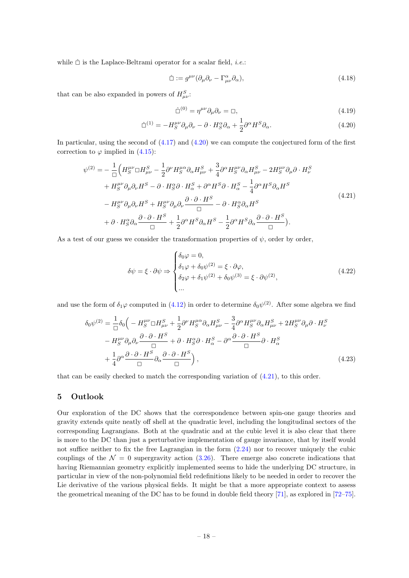while  $\hat{\Box}$  is the Laplace-Beltrami operator for a scalar field, *i.e.*:

$$
\hat{\Box} := g^{\mu\nu} (\partial_{\mu} \partial_{\nu} - \Gamma^{\alpha}_{\mu\nu} \partial_{\alpha}), \tag{4.18}
$$

that can be also expanded in powers of  $H_{\mu\nu}^S$ .

<span id="page-18-2"></span><span id="page-18-1"></span>
$$
\hat{\Box}^{(0)} = \eta^{\mu\nu} \partial_{\mu} \partial_{\nu} = \Box,
$$
\n(4.19)

$$
\hat{\Box}^{(1)} = -H_S^{\mu\nu}\partial_\mu\partial_\nu - \partial \cdot H_S^\alpha\partial_\alpha + \frac{1}{2}\partial^\alpha H^S\partial_\alpha.
$$
\n(4.20)

In particular, using the second of  $(4.17)$  and  $(4.20)$  we can compute the conjectured form of the first correction to  $\varphi$  implied in [\(4.15\)](#page-17-2):

$$
\psi^{(2)} = -\frac{1}{\Box} \Big( H_S^{\mu\nu} \Box H_{\mu\nu}^S - \frac{1}{2} \partial^{\nu} H_S^{\mu\alpha} \partial_{\alpha} H_{\mu\nu}^S + \frac{3}{4} \partial^{\alpha} H_S^{\mu\nu} \partial_{\alpha} H_{\mu\nu}^S - 2 H_S^{\mu\nu} \partial_{\mu} \partial \cdot H_{\nu}^S \n+ H_S^{\mu\nu} \partial_{\mu} \partial_{\nu} H^S - \partial \cdot H_S^S \partial \cdot H_{\alpha}^S + \partial^{\alpha} H^S \partial \cdot H_{\alpha}^S - \frac{1}{4} \partial^{\alpha} H^S \partial_{\alpha} H^S \n- H_S^{\mu\nu} \partial_{\mu} \partial_{\nu} H^S + H_S^{\mu\nu} \partial_{\mu} \partial_{\nu} \frac{\partial \cdot \partial \cdot H^S}{\Box} - \partial \cdot H_S^{\alpha} \partial_{\alpha} H^S \n+ \partial \cdot H_S^{\alpha} \partial_{\alpha} \frac{\partial \cdot \partial \cdot H^S}{\Box} + \frac{1}{2} \partial^{\alpha} H^S \partial_{\alpha} H^S - \frac{1}{2} \partial^{\alpha} H^S \partial_{\alpha} \frac{\partial \cdot \partial \cdot H^S}{\Box}. \tag{4.21}
$$

As a test of our guess we consider the transformation properties of  $\psi$ , order by order,

$$
\delta\psi = \xi \cdot \partial\psi \Rightarrow \begin{cases} \delta_0 \varphi = 0, \\ \delta_1 \varphi + \delta_0 \psi^{(2)} = \xi \cdot \partial\varphi, \\ \delta_2 \varphi + \delta_1 \psi^{(2)} + \delta_0 \psi^{(3)} = \xi \cdot \partial\psi^{(2)}, \\ \dots \end{cases} \tag{4.22}
$$

and use the form of  $\delta_1\varphi$  computed in [\(4.12\)](#page-17-3) in order to determine  $\delta_0\psi^{(2)}$ . After some algebra we find

$$
\delta_0 \psi^{(2)} = \frac{1}{\Box} \delta_0 \Big( -H_S^{\mu\nu} \Box H_{\mu\nu}^S + \frac{1}{2} \partial^{\nu} H_S^{\mu\alpha} \partial_{\alpha} H_{\mu\nu}^S - \frac{3}{4} \partial^{\alpha} H_S^{\mu\nu} \partial_{\alpha} H_{\mu\nu}^S + 2H_S^{\mu\nu} \partial_{\mu} \partial \cdot H_{\nu}^S - H_S^{\mu\nu} \partial_{\mu} \partial_{\nu} \frac{\partial \cdot \partial \cdot H^S}{\Box} + \partial \cdot H_S^{\alpha} \partial \cdot H_{\alpha}^S - \partial^{\alpha} \frac{\partial \cdot \partial \cdot H^S}{\Box} \partial \cdot H_{\alpha}^S - \frac{1}{4} \partial^{\alpha} \frac{\partial \cdot \partial \cdot H^S}{\Box} \partial_{\alpha} \frac{\partial \cdot \partial \cdot H^S}{\Box} \Big), \tag{4.23}
$$

that can be easily checked to match the corresponding variation of [\(4.21\)](#page-18-2), to this order.

# <span id="page-18-0"></span>5 Outlook

Our exploration of the DC shows that the correspondence between spin-one gauge theories and gravity extends quite neatly off shell at the quadratic level, including the longitudinal sectors of the corresponding Lagrangians. Both at the quadratic and at the cubic level it is also clear that there is more to the DC than just a perturbative implementation of gauge invariance, that by itself would not suffice neither to fix the free Lagrangian in the form  $(2.24)$  nor to recover uniquely the cubic couplings of the  $\mathcal{N} = 0$  supergravity action [\(3.26\)](#page-14-3). There emerge also concrete indications that having Riemannian geometry explicitly implemented seems to hide the underlying DC structure, in particular in view of the non-polynomial field redefinitions likely to be needed in order to recover the Lie derivative of the various physical fields. It might be that a more appropriate context to assess the geometrical meaning of the DC has to be found in double field theory [\[71\]](#page-25-15), as explored in [\[72](#page-25-16)[–75\]](#page-26-0).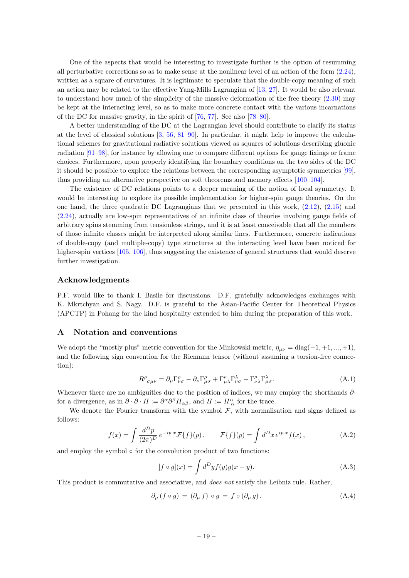One of the aspects that would be interesting to investigate further is the option of resumming all perturbative corrections so as to make sense at the nonlinear level of an action of the form [\(2.24\)](#page-8-2), written as a square of curvatures. It is legitimate to speculate that the double-copy meaning of such an action may be related to the effective Yang-Mills Lagrangian of [\[13,](#page-23-1) [27\]](#page-23-13). It would be also relevant to understand how much of the simplicity of the massive deformation of the free theory [\(2.30\)](#page-9-5) may be kept at the interacting level, so as to make more concrete contact with the various incarnations of the DC for massive gravity, in the spirit of [\[76,](#page-26-1) [77\]](#page-26-2). See also [\[78–](#page-26-3)[80\]](#page-26-4).

A better understanding of the DC at the Lagrangian level should contribute to clarify its status at the level of classical solutions [\[3,](#page-22-2) [56,](#page-25-3) [81](#page-26-5)[–90\]](#page-26-6). In particular, it might help to improve the calculational schemes for gravitational radiative solutions viewed as squares of solutions describing gluonic radiation [\[91](#page-26-7)[–98\]](#page-27-0), for instance by allowing one to compare different options for gauge fixings or frame choices. Furthermore, upon properly identifying the boundary conditions on the two sides of the DC it should be possible to explore the relations between the corresponding asymptotic symmetries [\[99\]](#page-27-1), thus providing an alternative perspective on soft theorems and memory effects [\[100–](#page-27-2)[104\]](#page-27-3).

The existence of DC relations points to a deeper meaning of the notion of local symmetry. It would be interesting to explore its possible implementation for higher-spin gauge theories. On the one hand, the three quadratic DC Lagrangians that we presented in this work,  $(2.12)$ ,  $(2.15)$  and [\(2.24\)](#page-8-2), actually are low-spin representatives of an infinite class of theories involving gauge fields of arbitrary spins stemming from tensionless strings, and it is at least conceivable that all the members of those infinite classes might be interpreted along similar lines. Furthermore, concrete indications of double-copy (and multiple-copy) type structures at the interacting level have been noticed for higher-spin vertices [\[105,](#page-27-4) [106\]](#page-27-5), thus suggesting the existence of general structures that would deserve further investigation.

## Acknowledgments

P.F. would like to thank I. Basile for discussions. D.F. gratefully acknowledges exchanges with K. Mkrtchyan and S. Nagy. D.F. is grateful to the Asian-Pacific Center for Theoretical Physics (APCTP) in Pohang for the kind hospitality extended to him during the preparation of this work.

## <span id="page-19-0"></span>A Notation and conventions

We adopt the "mostly plus" metric convention for the Minkowski metric,  $\eta_{\mu\nu} = \text{diag}(-1, +1, ..., +1)$ , and the following sign convention for the Riemann tensor (without assuming a torsion-free connection):

$$
R^{\rho}_{\sigma\mu\nu} = \partial_{\mu}\Gamma^{\rho}_{\nu\sigma} - \partial_{\nu}\Gamma^{\rho}_{\mu\sigma} + \Gamma^{\rho}_{\mu\lambda}\Gamma^{\lambda}_{\nu\sigma} - \Gamma^{\rho}_{\nu\lambda}\Gamma^{\lambda}_{\mu\sigma}.
$$
 (A.1)

Whenever there are no ambiguities due to the position of indices, we may employ the shorthands  $\partial$ for a divergence, as in  $\partial \cdot \partial \cdot H := \partial^{\alpha} \partial^{\beta} H_{\alpha\beta}$ , and  $H := H^{\alpha}_{\alpha}$  for the trace.

We denote the Fourier transform with the symbol  $\mathcal{F}$ , with normalisation and signs defined as follows:

$$
f(x) = \int \frac{d^D p}{(2\pi)^D} e^{-ip \cdot x} \mathcal{F}{f}(p), \qquad \mathcal{F}{f}(p) = \int d^D x \, e^{ip \cdot x} f(x), \tag{A.2}
$$

and employ the symbol  $\circ$  for the convolution product of two functions:

$$
[f \circ g](x) = \int d^D y f(y) g(x - y). \tag{A.3}
$$

This product is commutative and associative, and does not satisfy the Leibniz rule. Rather,

<span id="page-19-1"></span>
$$
\partial_{\mu} (f \circ g) = (\partial_{\mu} f) \circ g = f \circ (\partial_{\mu} g). \tag{A.4}
$$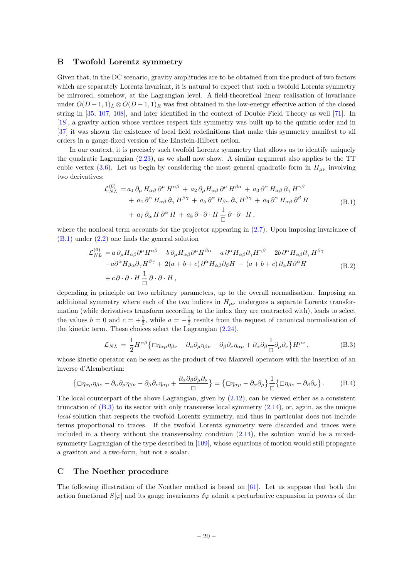# <span id="page-20-0"></span>B Twofold Lorentz symmetry

Given that, in the DC scenario, gravity amplitudes are to be obtained from the product of two factors which are separately Lorentz invariant, it is natural to expect that such a twofold Lorentz symmetry be mirrored, somehow, at the Lagrangian level. A field-theoretical linear realisation of invariance under  $O(D-1,1)_L \otimes O(D-1,1)_R$  was first obtained in the low-energy effective action of the closed string in [\[35,](#page-24-11) [107,](#page-27-6) [108\]](#page-27-7), and later identified in the context of Double Field Theory as well [\[71\]](#page-25-15). In [\[18\]](#page-23-3), a gravity action whose vertices respect this symmetry was built up to the quintic order and in [\[37\]](#page-24-2) it was shown the existence of local field redefinitions that make this symmetry manifest to all orders in a gauge-fixed version of the Einstein-Hilbert action.

In our context, it is precisely such twofold Lorentz symmetry that allows us to identify uniquely the quadratic Lagrangian [\(2.23\)](#page-8-0), as we shall now show. A similar argument also applies to the TT cubic vertex [\(3.6\)](#page-11-1). Let us begin by considering the most general quadratic form in  $H_{\mu\nu}$  involving two derivatives:

$$
\mathcal{L}_{NL}^{(0)} = a_1 \, \partial_\mu \, H_{\alpha\beta} \, \partial^\mu \, H^{\alpha\beta} + a_2 \, \partial_\mu H_{\alpha\beta} \, \partial^\mu \, H^{\beta\alpha} + a_3 \, \partial^\alpha \, H_{\alpha\beta} \, \partial_\gamma \, H^{\gamma\beta} + a_4 \, \partial^\alpha \, H_{\alpha\beta} \, \partial_\gamma \, H^{\beta\gamma} + a_5 \, \partial^\alpha \, H_{\beta\alpha} \, \partial_\gamma \, H^{\beta\gamma} + a_6 \, \partial^\alpha \, H_{\alpha\beta} \, \partial^\beta \, H + a_7 \, \partial_\alpha \, H \, \partial^\alpha \, H + a_8 \, \partial \cdot \partial \cdot H \, \frac{1}{\Box} \, \partial \cdot \partial \cdot H , \tag{B.1}
$$

<span id="page-20-2"></span>where the nonlocal term accounts for the projector appearing in  $(2.7)$ . Upon imposing invariance of [\(B.1\)](#page-20-2) under [\(2.2\)](#page-4-3) one finds the general solution

$$
\mathcal{L}_{NL}^{(0)} = a \partial_{\mu} H_{\alpha\beta} \partial^{\mu} H^{\alpha\beta} + b \partial_{\mu} H_{\alpha\beta} \partial^{\mu} H^{\beta\alpha} - a \partial^{\alpha} H_{\alpha\beta} \partial_{\gamma} H^{\gamma\beta} - 2b \partial^{\alpha} H_{\alpha\beta} \partial_{\gamma} H^{\beta\gamma} - a \partial^{\alpha} H_{\beta\alpha} \partial_{\gamma} H^{\beta\gamma} + 2(a+b+c) \partial^{\alpha} H_{\alpha\beta} \partial_{\beta} H - (a+b+c) \partial_{\alpha} H \partial^{\alpha} H + c \partial \cdot \partial \cdot H \frac{1}{\Box} \partial \cdot \partial \cdot H,
$$
\n(B.2)

depending in principle on two arbitrary parameters, up to the overall normalisation. Imposing an additional symmetry where each of the two indices in  $H_{\mu\nu}$  undergoes a separate Lorentz transformation (while derivatives transform according to the index they are contracted with), leads to select the values  $b = 0$  and  $c = +\frac{1}{2}$ , while  $a = -\frac{1}{2}$  results from the request of canonical normalisation of the kinetic term. These choices select the Lagrangian [\(2.24\)](#page-8-2),

<span id="page-20-3"></span>
$$
\mathcal{L}_{NL} = \frac{1}{2} H^{\alpha\beta} \{ \Box \eta_{\alpha\mu} \eta_{\beta\nu} - \partial_{\alpha} \partial_{\mu} \eta_{\beta\nu} - \partial_{\beta} \partial_{\nu} \eta_{\alpha\mu} + \partial_{\alpha} \partial_{\beta} \frac{1}{\Box} \partial_{\mu} \partial_{\nu} \} H^{\mu\nu} , \tag{B.3}
$$

whose kinetic operator can be seen as the product of two Maxwell operators with the insertion of an inverse d'Alembertian:

$$
\left\{ \Box \eta_{\alpha\mu} \eta_{\beta\nu} - \partial_{\alpha} \partial_{\mu} \eta_{\beta\nu} - \partial_{\beta} \partial_{\nu} \eta_{\alpha\mu} + \frac{\partial_{\alpha} \partial_{\beta} \partial_{\mu} \partial_{\nu}}{\Box} \right\} = \left\{ \Box \eta_{\alpha\mu} - \partial_{\alpha} \partial_{\mu} \right\} \frac{1}{\Box} \left\{ \Box \eta_{\beta\nu} - \partial_{\beta} \partial_{\nu} \right\}.
$$
 (B.4)

The local counterpart of the above Lagrangian, given by [\(2.12\)](#page-6-1), can be viewed either as a consistent truncation of [\(B.3\)](#page-20-3) to its sector with only transverse local symmetry [\(2.14\)](#page-6-2), or, again, as the unique local solution that respects the twofold Lorentz symmetry, and thus in particular does not include terms proportional to traces. If the twofold Lorentz symmetry were discarded and traces were included in a theory without the transversality condition  $(2.14)$ , the solution would be a mixed-symmetry Lagrangian of the type described in [\[109\]](#page-27-8), whose equations of motion would still propagate a graviton and a two-form, but not a scalar.

# <span id="page-20-1"></span>C The Noether procedure

The following illustration of the Noether method is based on [\[61\]](#page-25-7). Let us suppose that both the action functional  $S[\varphi]$  and its gauge invariances  $\delta\varphi$  admit a perturbative expansion in powers of the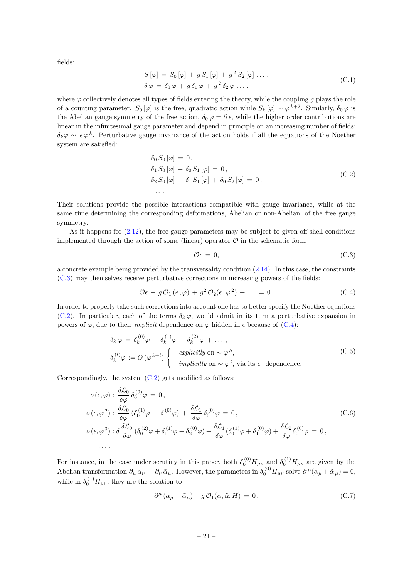fields:

$$
S[\varphi] = S_0[\varphi] + g S_1[\varphi] + g^2 S_2[\varphi] \dots ,
$$
  
\n
$$
\delta \varphi = \delta_0 \varphi + g \delta_1 \varphi + g^2 \delta_2 \varphi \dots ,
$$
\n(C.1)

where  $\varphi$  collectively denotes all types of fields entering the theory, while the coupling g plays the role of a counting parameter.  $S_0[\varphi]$  is the free, quadratic action while  $S_k[\varphi] \sim \varphi^{k+2}$ . Similarly,  $\delta_0 \varphi$  is the Abelian gauge symmetry of the free action,  $\delta_0 \varphi = \partial \epsilon$ , while the higher order contributions are linear in the infinitesimal gauge parameter and depend in principle on an increasing number of fields:  $\delta_k \varphi \sim \epsilon \varphi^k$ . Perturbative gauge invariance of the action holds if all the equations of the Noether system are satisfied:

$$
\delta_0 S_0 [\varphi] = 0, \n\delta_1 S_0 [\varphi] + \delta_0 S_1 [\varphi] = 0, \n\delta_2 S_0 [\varphi] + \delta_1 S_1 [\varphi] + \delta_0 S_2 [\varphi] = 0, \n...
$$
\n(C.2)

<span id="page-21-4"></span>Their solutions provide the possible interactions compatible with gauge invariance, while at the same time determining the corresponding deformations, Abelian or non-Abelian, of the free gauge symmetry.

As it happens for  $(2.12)$ , the free gauge parameters may be subject to given off-shell conditions implemented through the action of some (linear) operator  $\mathcal O$  in the schematic form

<span id="page-21-3"></span>
$$
\mathcal{O}\epsilon = 0,\tag{C.3}
$$

a concrete example being provided by the transversality condition [\(2.14\)](#page-6-2). In this case, the constraints [\(C.3\)](#page-21-3) may themselves receive perturbative corrections in increasing powers of the fields:

<span id="page-21-0"></span>
$$
\mathcal{O}\epsilon + g\,\mathcal{O}_1\left(\epsilon,\varphi\right) + g^2\,\mathcal{O}_2\left(\epsilon,\varphi^2\right) + \ldots = 0. \tag{C.4}
$$

In order to properly take such corrections into account one has to better specify the Noether equations [\(C.2\)](#page-21-4). In particular, each of the terms  $\delta_k \varphi$ , would admit in its turn a perturbative expansion in powers of  $\varphi$ , due to their *implicit* dependence on  $\varphi$  hidden in  $\epsilon$  because of [\(C.4\)](#page-21-0):

$$
\delta_k \varphi = \delta_k^{(0)} \varphi + \delta_k^{(1)} \varphi + \delta_k^{(2)} \varphi + \dots,
$$
  
\n
$$
\delta_k^{(l)} \varphi := O(\varphi^{k+l}) \begin{cases}\n\text{explicitly on } \sim \varphi^k, \\
\text{implicitly on } \sim \varphi^l, \text{ via its } \epsilon-\text{dependence.} \n\end{cases}
$$
\n(C.5)

Correspondingly, the system  $(C.2)$  gets modified as follows:

$$
\begin{aligned}\n o(\epsilon,\varphi) : \frac{\delta \mathcal{L}_0}{\delta \varphi} \delta_0^{(0)} \varphi &= 0, \\
 o(\epsilon,\varphi^2) : \frac{\delta \mathcal{L}_0}{\delta \varphi} \left( \delta_0^{(1)} \varphi + \delta_1^{(0)} \varphi \right) + \frac{\delta \mathcal{L}_1}{\delta \varphi} \delta_0^{(0)} \varphi &= 0, \\
 o(\epsilon,\varphi^3) : \delta \frac{\delta \mathcal{L}_0}{\delta \varphi} \left( \delta_0^{(2)} \varphi + \delta_1^{(1)} \varphi + \delta_2^{(0)} \varphi \right) + \frac{\delta \mathcal{L}_1}{\delta \varphi} \left( \delta_0^{(1)} \varphi + \delta_1^{(0)} \varphi \right) + \frac{\delta \mathcal{L}_2}{\delta \varphi} \delta_0^{(0)} \varphi &= 0, \\
 &\dots\n\end{aligned} \tag{C.6}
$$

For instance, in the case under scrutiny in this paper, both  $\delta_0^{(0)} H_{\mu\nu}$  and  $\delta_0^{(1)} H_{\mu\nu}$  are given by the Abelian transformation  $\partial_{\mu} \alpha_{\nu} + \partial_{\nu} \tilde{\alpha}_{\mu}$ . However, the parameters in  $\delta_0^{(0)} H_{\mu\nu}$  solve  $\partial^{\mu} (\alpha_{\mu} + \tilde{\alpha}_{\mu}) = 0$ , while in  $\delta_0^{(1)} H_{\mu\nu}$ , they are the solution to

<span id="page-21-2"></span><span id="page-21-1"></span>
$$
\partial^{\mu} (\alpha_{\mu} + \tilde{\alpha}_{\mu}) + g \mathcal{O}_1(\alpha, \tilde{\alpha}, H) = 0, \qquad (C.7)
$$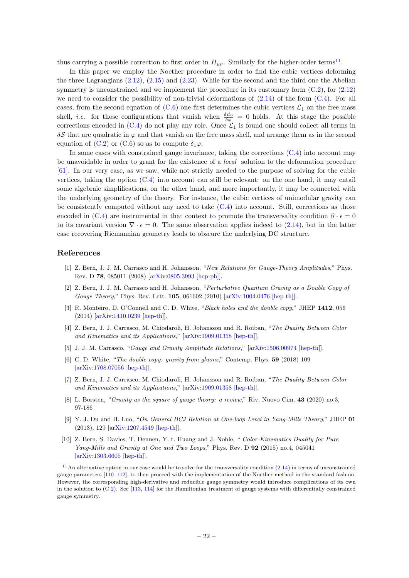thus carrying a possible correction to first order in  $H_{\mu\nu}$ . Similarly for the higher-order terms<sup>[11](#page-22-7)</sup>.

In this paper we employ the Noether procedure in order to find the cubic vertices deforming the three Lagrangians [\(2.12\)](#page-6-1), [\(2.15\)](#page-7-0) and [\(2.23\)](#page-8-0). While for the second and the third one the Abelian symmetry is unconstrained and we implement the procedure in its customary form  $(C.2)$ , for  $(2.12)$ we need to consider the possibility of non-trivial deformations of  $(2.14)$  of the form  $(C.4)$ . For all cases, from the second equation of  $(C.6)$  one first determines the cubic vertices  $\mathcal{L}_1$  on the free mass shell, *i.e.* for those configurations that vanish when  $\frac{\delta \mathcal{L}_0}{\delta \varphi} = 0$  holds. At this stage the possible corrections encoded in  $(C.4)$  do not play any role. Once  $\mathcal{L}_1$  is found one should collect all terms in  $\delta S$  that are quadratic in  $\varphi$  and that vanish on the free mass shell, and arrange them as in the second equation of [\(C.2\)](#page-21-4) or [\(C.6\)](#page-21-1) so as to compute  $\delta_1\varphi$ .

In some cases with constrained gauge invariance, taking the corrections  $(C.4)$  into account may be unavoidable in order to grant for the existence of a *local* solution to the deformation procedure [\[61\]](#page-25-7). In our very case, as we saw, while not strictly needed to the purpose of solving for the cubic vertices, taking the option [\(C.4\)](#page-21-0) into account can still be relevant: on the one hand, it may entail some algebraic simplifications, on the other hand, and more importantly, it may be connected with the underlying geometry of the theory. For instance, the cubic vertices of unimodular gravity can be consistently computed without any need to take [\(C.4\)](#page-21-0) into account. Still, corrections as those encoded in [\(C.4\)](#page-21-0) are instrumental in that context to promote the transversality condition  $\partial \cdot \epsilon = 0$ to its covariant version  $\nabla \cdot \epsilon = 0$ . The same observation applies indeed to [\(2.14\)](#page-6-2), but in the latter case recovering Riemannian geometry leads to obscure the underlying DC structure.

# References

- <span id="page-22-0"></span>[1] Z. Bern, J. J. M. Carrasco and H. Johansson, "New Relations for Gauge-Theory Amplitudes," Phys. Rev. D 78, 085011 (2008) [\[arXiv:0805.3993 \[hep-ph\]\]](http://arxiv.org/abs/arXiv:0805.3993).
- <span id="page-22-1"></span>[2] Z. Bern, J. J. M. Carrasco and H. Johansson, "Perturbative Quantum Gravity as a Double Copy of Gauge Theory," Phys. Rev. Lett. 105, 061602 (2010) [\[arXiv:1004.0476 \[hep-th\]\]](http://arxiv.org/abs/arXiv:1004.0476).
- <span id="page-22-2"></span>[3] R. Monteiro, D. O'Connell and C. D. White, "Black holes and the double copy," JHEP 1412, 056 (2014) [\[arXiv:1410.0239 \[hep-th\]\]](http://arxiv.org/abs/arXiv:1410.0239).
- <span id="page-22-4"></span>[4] Z. Bern, J. J. Carrasco, M. Chiodaroli, H. Johansson and R. Roiban, "The Duality Between Color and Kinematics and its Applications," [\[arXiv:1909.01358 \[hep-th\]\]](https://arxiv.org/abs/1909.01358).
- <span id="page-22-5"></span>[5] J. J. M. Carrasco, "Gauge and Gravity Amplitude Relations," [\[arXiv:1506.00974 \[hep-th\]\]](http://arxiv.org/abs/arXiv:1506.00974).
- [6] C. D. White, "The double copy: gravity from gluons," Contemp. Phys. 59 (2018) 109  $[\text{arXiv:1708.07056 }$  [hep-th]].
- [7] Z. Bern, J. J. Carrasco, M. Chiodaroli, H. Johansson and R. Roiban, "The Duality Between Color and Kinematics and its Applications," [\[arXiv:1909.01358 \[hep-th\]\]](http://arxiv.org/abs/arXiv:1909.01358).
- <span id="page-22-6"></span>[8] L. Borsten, "Gravity as the square of gauge theory: a review," Riv. Nuovo Cim. 43 (2020) no.3, 97-186
- <span id="page-22-3"></span>[9] Y. J. Du and H. Luo, "On General BCJ Relation at One-loop Level in Yang-Mills Theory," JHEP 01 (2013), 129 [\[arXiv:1207.4549 \[hep-th\]\]](http://arxiv.org/abs/arXiv:1207.4549).
- [10] Z. Bern, S. Davies, T. Dennen, Y. t. Huang and J. Nohle, " Color-Kinematics Duality for Pure Yang-Mills and Gravity at One and Two Loops," Phys. Rev. D 92 (2015) no.4, 045041 [\[arXiv:1303.6605 \[hep-th\]\]](http://arxiv.org/abs/arXiv:1303.6605).

<span id="page-22-7"></span> $11$ An alternative option in our case would be to solve for the transversality condition  $(2.14)$  in terms of unconstrained gauge parameters [\[110–](#page-27-9)[112\]](#page-27-10), to then proceed with the implementation of the Noether method in the standard fashion. However, the corresponding high-derivative and reducible gauge symmetry would introduce complications of its own in the solution to [\(C.2\)](#page-21-4). See [\[113,](#page-27-11) [114\]](#page-27-12) for the Hamiltonian treatment of gauge systems with differentially constrained gauge symmetry.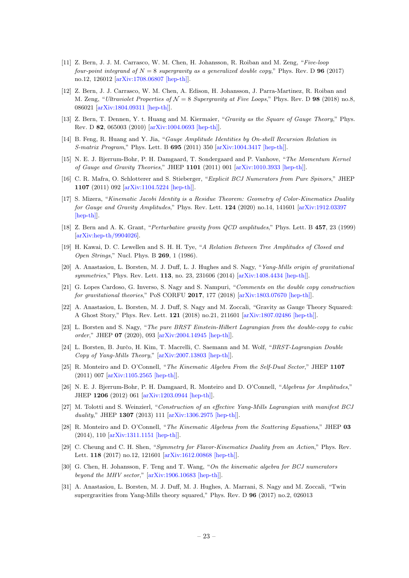- [11] Z. Bern, J. J. M. Carrasco, W. M. Chen, H. Johansson, R. Roiban and M. Zeng, "Five-loop four-point integrand of  $N = 8$  supergravity as a generalized double copy," Phys. Rev. D 96 (2017) no.12, 126012 [\[arXiv:1708.06807 \[hep-th\]\]](http://arxiv.org/abs/arXiv:1708.06807).
- <span id="page-23-0"></span>[12] Z. Bern, J. J. Carrasco, W. M. Chen, A. Edison, H. Johansson, J. Parra-Martinez, R. Roiban and M. Zeng, "Ultraviolet Properties of  $\mathcal{N} = 8$  Supergravity at Five Loops," Phys. Rev. D 98 (2018) no.8, 086021 [\[arXiv:1804.09311 \[hep-th\]\]](http://arxiv.org/abs/arXiv:1804.09311).
- <span id="page-23-1"></span>[13] Z. Bern, T. Dennen, Y. t. Huang and M. Kiermaier, "Gravity as the Square of Gauge Theory," Phys. Rev. D 82, 065003 (2010) [\[arXiv:1004.0693 \[hep-th\]\]](http://arxiv.org/abs/arXiv:1004.0693).
- [14] B. Feng, R. Huang and Y. Jia, "Gauge Amplitude Identities by On-shell Recursion Relation in S-matrix Program," Phys. Lett. B 695 (2011) 350 [\[arXiv:1004.3417 \[hep-th\]\]](http://arxiv.org/abs/arXiv:1004.3417).
- [15] N. E. J. Bjerrum-Bohr, P. H. Damgaard, T. Sondergaard and P. Vanhove, "The Momentum Kernel of Gauge and Gravity Theories," JHEP 1101 (2011) 001 [\[arXiv:1010.3933 \[hep-th\]\]](http://arxiv.org/abs/arXiv:1010.3933).
- [16] C. R. Mafra, O. Schlotterer and S. Stieberger, "Explicit BCJ Numerators from Pure Spinors," JHEP 1107 (2011) 092 [\[arXiv:1104.5224 \[hep-th\]\]](http://arxiv.org/abs/arXiv:1104.5224).
- <span id="page-23-2"></span>[17] S. Mizera, "Kinematic Jacobi Identity is a Residue Theorem: Geometry of Color-Kinematics Duality for Gauge and Gravity Amplitudes," Phys. Rev. Lett. **124** (2020) no.14, 141601 [\[arXiv:1912.03397](http://arxiv.org/abs/arXiv:1912.03397) [\[hep-th\]\]](http://arxiv.org/abs/arXiv:1912.03397).
- <span id="page-23-3"></span>[18] Z. Bern and A. K. Grant, "Perturbative gravity from QCD amplitudes," Phys. Lett. B 457, 23 (1999) [\[arXiv:hep-th/9904026\]](http://arxiv.org/abs/arXiv:hep-th/9904026).
- <span id="page-23-4"></span>[19] H. Kawai, D. C. Lewellen and S. H. H. Tye, "A Relation Between Tree Amplitudes of Closed and Open Strings," Nucl. Phys. B 269, 1 (1986).
- <span id="page-23-5"></span>[20] A. Anastasiou, L. Borsten, M. J. Duff, L. J. Hughes and S. Nagy, "Yang-Mills origin of gravitational symmetries," Phys. Rev. Lett. 113, no. 23, 231606 (2014) [\[arXiv:1408.4434 \[hep-th\]\]](http://arxiv.org/abs/arXiv:1408.4434).
- <span id="page-23-6"></span>[21] G. Lopes Cardoso, G. Inverso, S. Nagy and S. Nampuri, "Comments on the double copy construction for gravitational theories," PoS CORFU 2017, 177 (2018) [\[arXiv:1803.07670 \[hep-th\]\]](http://arxiv.org/abs/arXiv:1803.07670).
- <span id="page-23-7"></span>[22] A. Anastasiou, L. Borsten, M. J. Duff, S. Nagy and M. Zoccali, "Gravity as Gauge Theory Squared: A Ghost Story," Phys. Rev. Lett. 121 (2018) no.21, 211601 [\[arXiv:1807.02486 \[hep-th\]\]](http://arxiv.org/abs/arXiv:1807.02486).
- <span id="page-23-8"></span>[23] L. Borsten and S. Nagy, "The pure BRST Einstein-Hilbert Lagrangian from the double-copy to cubic order," JHEP 07 (2020), 093 [\[arXiv:2004.14945 \[hep-th\]\]](https://arxiv.org/abs/2004.14945).
- <span id="page-23-9"></span>[24] L. Borsten, B. Jurčo, H. Kim, T. Macrelli, C. Saemann and M. Wolf, "BRST-Lagrangian Double Copy of Yang-Mills Theory," [\[arXiv:2007.13803 \[hep-th\]\]](https://arxiv.org/abs/2007.13803).
- <span id="page-23-10"></span>[25] R. Monteiro and D. O'Connell, "The Kinematic Algebra From the Self-Dual Sector," JHEP 1107 (2011) 007 [\[arXiv:1105.2565 \[hep-th\]\]](http://arxiv.org/abs/arXiv:1105.2565).
- [26] N. E. J. Bjerrum-Bohr, P. H. Damgaard, R. Monteiro and D. O'Connell, "Algebras for Amplitudes," JHEP 1206 (2012) 061 [\[arXiv:1203.0944 \[hep-th\]\]](http://arxiv.org/abs/arXiv:1203.0944).
- <span id="page-23-13"></span>[27] M. Tolotti and S. Weinzierl, "Construction of an effective Yang-Mills Lagrangian with manifest BCJ duality," JHEP **1307** (2013) 111 [\[arXiv:1306.2975 \[hep-th\]\]](http://arxiv.org/abs/arXiv:1306.2975).
- [28] R. Monteiro and D. O'Connell, "The Kinematic Algebras from the Scattering Equations," JHEP 03 (2014), 110 [\[arXiv:1311.1151 \[hep-th\]\]](http://arxiv.org/abs/arXiv:1311.1151).
- [29] C. Cheung and C. H. Shen, "Symmetry for Flavor-Kinematics Duality from an Action," Phys. Rev. Lett. 118 (2017) no.12, 121601 [\[arXiv:1612.00868 \[hep-th\]\]](http://arxiv.org/abs/arXiv:1612.00868).
- <span id="page-23-11"></span>[30] G. Chen, H. Johansson, F. Teng and T. Wang, "On the kinematic algebra for BCJ numerators beyond the MHV sector," [\[arXiv:1906.10683 \[hep-th\]\]](http://arxiv.org/abs/arXiv:1906.10683).
- <span id="page-23-12"></span>[31] A. Anastasiou, L. Borsten, M. J. Duff, M. J. Hughes, A. Marrani, S. Nagy and M. Zoccali, "Twin supergravities from Yang-Mills theory squared," Phys. Rev. D 96 (2017) no.2, 026013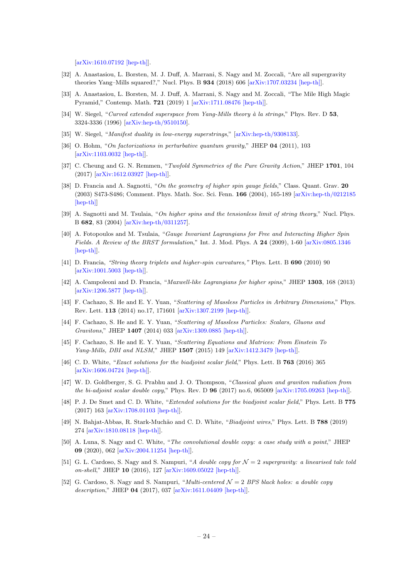[\[arXiv:1610.07192 \[hep-th\]\]](http://arxiv.org/abs/arXiv:1610.07192).

- [32] A. Anastasiou, L. Borsten, M. J. Duff, A. Marrani, S. Nagy and M. Zoccali, "Are all supergravity theories Yang–Mills squared?," Nucl. Phys. B  $934$  (2018) 606 [\[arXiv:1707.03234 \[hep-th\]\]](http://arxiv.org/abs/arXiv:1707.03234).
- <span id="page-24-0"></span>[33] A. Anastasiou, L. Borsten, M. J. Duff, A. Marrani, S. Nagy and M. Zoccali, "The Mile High Magic Pyramid," Contemp. Math. 721 (2019) 1 [\[arXiv:1711.08476 \[hep-th\]\]](http://arxiv.org/abs/arXiv:1711.08476).
- <span id="page-24-1"></span>[34] W. Siegel, "Curved extended superspace from Yang-Mills theory à la strings," Phys. Rev. D 53, 3324-3336 (1996) [\[arXiv:hep-th/9510150\]](http://arxiv.org/abs/arXiv:hep-th/9510150).
- <span id="page-24-11"></span>[35] W. Siegel, "Manifest duality in low-energy superstrings," [\[arXiv:hep-th/9308133\]](http://arxiv.org/abs/arXiv:hep-th/9308133).
- [36] O. Hohm, "On factorizations in perturbative quantum gravity," JHEP 04 (2011), 103 [\[arXiv:1103.0032 \[hep-th\]\]](http://arxiv.org/abs/arXiv:1103.0032).
- <span id="page-24-2"></span>[37] C. Cheung and G. N. Remmen, "Twofold Symmetries of the Pure Gravity Action," JHEP 1701, 104 (2017) [\[arXiv:1612.03927 \[hep-th\]\]](http://arxiv.org/abs/arXiv:1612.03927).
- <span id="page-24-3"></span>[38] D. Francia and A. Sagnotti, "On the geometry of higher spin gauge fields," Class. Quant. Grav. 20 (2003) S473-S486; Comment. Phys. Math. Soc. Sci. Fenn. 166 (2004), 165-189 [\[arXiv:hep-th/0212185](https://arxiv.org/abs/hep-th/0212185) [\[hep-th\]\]](https://arxiv.org/abs/hep-th/0212185)
- [39] A. Sagnotti and M. Tsulaia, "On higher spins and the tensionless limit of string theory," Nucl. Phys. B 682, 83 (2004) [\[arXiv:hep-th/0311257\]](http://arxiv.org/abs/arXiv:hep-th/0311257).
- [40] A. Fotopoulos and M. Tsulaia, "Gauge Invariant Lagrangians for Free and Interacting Higher Spin Fields. A Review of the BRST formulation," Int. J. Mod. Phys. A 24 (2009), 1-60 [\[arXiv:0805.1346](https://arxiv.org/pdf/0805.1346.pdf) [\[hep-th\]\]](https://arxiv.org/pdf/0805.1346.pdf).
- <span id="page-24-10"></span>[41] D. Francia, "String theory triplets and higher-spin curvatures," Phys. Lett. B 690 (2010) 90 [\[arXiv:1001.5003 \[hep-th\]\]](https://arxiv.org/abs/1001.5003).
- <span id="page-24-4"></span>[42] A. Campoleoni and D. Francia, "Maxwell-like Lagrangians for higher spins," JHEP 1303, 168 (2013) [\[arXiv:1206.5877 \[hep-th\]\]](http://arxiv.org/abs/arXiv:1206.5877).
- <span id="page-24-5"></span>[43] F. Cachazo, S. He and E. Y. Yuan, "Scattering of Massless Particles in Arbitrary Dimensions," Phys. Rev. Lett. 113 (2014) no.17, 171601 [\[arXiv:1307.2199 \[hep-th\]\]](http://arxiv.org/abs/arXiv:1307.2199).
- [44] F. Cachazo, S. He and E. Y. Yuan, "Scattering of Massless Particles: Scalars, Gluons and Gravitons," JHEP 1407 (2014) 033 [\[arXiv:1309.0885 \[hep-th\]\]](http://arxiv.org/abs/arXiv:1309.0885).
- <span id="page-24-6"></span>[45] F. Cachazo, S. He and E. Y. Yuan, "Scattering Equations and Matrices: From Einstein To Yang-Mills, DBI and NLSM," JHEP 1507 (2015) 149 [\[arXiv:1412.3479 \[hep-th\]\]](http://arxiv.org/abs/arXiv:1412.3479).
- <span id="page-24-7"></span>[46] C. D. White, "Exact solutions for the biadjoint scalar field," Phys. Lett. B 763 (2016) 365 [\[arXiv:1606.04724 \[hep-th\]\]](http://arxiv.org/abs/arXiv:1606.04724).
- [47] W. D. Goldberger, S. G. Prabhu and J. O. Thompson, "Classical gluon and graviton radiation from the bi-adjoint scalar double copy," Phys. Rev. D  $96$  (2017) no.6, 065009 [\[arXiv:1705.09263 \[hep-th\]\]](http://arxiv.org/abs/arXiv:1705.09263).
- [48] P. J. De Smet and C. D. White, "Extended solutions for the biadjoint scalar field," Phys. Lett. B 775 (2017) 163 [\[arXiv:1708.01103 \[hep-th\]\]](http://arxiv.org/abs/arXiv:1708.01103).
- [49] N. Bahjat-Abbas, R. Stark-Muchão and C. D. White, "Biadjoint wires," Phys. Lett. B 788 (2019) 274 [\[arXiv:1810.08118 \[hep-th\]\]](http://arxiv.org/abs/arXiv:1810.08118).
- <span id="page-24-8"></span>[50] A. Luna, S. Nagy and C. White, "The convolutional double copy: a case study with a point," JHEP 09 (2020), 062 [\[arXiv:2004.11254 \[hep-th\]\]](https://arxiv.org/abs/2004.11254).
- <span id="page-24-9"></span>[51] G. L. Cardoso, S. Nagy and S. Nampuri, "A double copy for  $\mathcal{N}=2$  supergravity: a linearised tale told on-shell," JHEP 10 (2016), 127 [\[arXiv:1609.05022 \[hep-th\]\]](https://arxiv.org/abs/1609.05022).
- [52] G. Cardoso, S. Nagy and S. Nampuri, "*Multi-centered*  $\mathcal{N}=2$  BPS black holes: a double copy description," JHEP 04 (2017), 037 [\[arXiv:1611.04409 \[hep-th\]\]](https://arxiv.org/abs/1611.04409).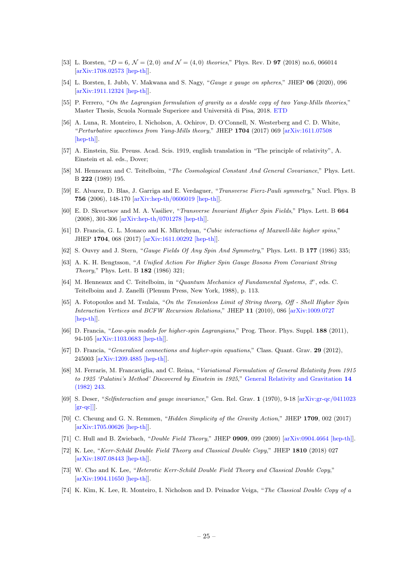- <span id="page-25-0"></span>[53] L. Borsten, " $D = 6$ ,  $\mathcal{N} = (2, 0)$  and  $\mathcal{N} = (4, 0)$  theories," Phys. Rev. D **97** (2018) no.6, 066014 [\[arXiv:1708.02573 \[hep-th\]\]](https://arxiv.org/abs/1708.02573).
- <span id="page-25-1"></span>[54] L. Borsten, I. Jubb, V. Makwana and S. Nagy, "Gauge x gauge on spheres," JHEP 06 (2020), 096 [\[arXiv:1911.12324 \[hep-th\]\]](https://arxiv.org/abs/1911.12324).
- <span id="page-25-2"></span>[55] P. Ferrero, "On the Lagrangian formulation of gravity as a double copy of two Yang-Mills theories," Master Thesis, Scuola Normale Superiore and Universit`a di Pisa, 2018. [ETD](https://etd.adm.unipi.it/theses/browse/by_author/f.html)
- <span id="page-25-3"></span>[56] A. Luna, R. Monteiro, I. Nicholson, A. Ochirov, D. O'Connell, N. Westerberg and C. D. White, "Perturbative spacetimes from Yang-Mills theory," JHEP 1704 (2017) 069 [\[arXiv:1611.07508](http://arxiv.org/abs/arXiv:1611.07508) [\[hep-th\]\]](http://arxiv.org/abs/arXiv:1611.07508).
- <span id="page-25-4"></span>[57] A. Einstein, Siz. Preuss. Acad. Scis. 1919, english translation in "The principle of relativity", A. Einstein et al. eds., Dover;
- [58] M. Henneaux and C. Teitelboim, "The Cosmological Constant And General Covariance," Phys. Lett. B 222 (1989) 195.
- <span id="page-25-5"></span>[59] E. Alvarez, D. Blas, J. Garriga and E. Verdaguer, "Transverse Fierz-Pauli symmetry," Nucl. Phys. B 756 (2006), 148-170 [\[arXiv:hep-th/0606019 \[hep-th\]\]](https://arxiv.org/abs/hep-th/0606019).
- <span id="page-25-6"></span>[60] E. D. Skvortsov and M. A. Vasiliev, "Transverse Invariant Higher Spin Fields," Phys. Lett. B 664 (2008), 301-306 [\[arXiv:hep-th/0701278 \[hep-th\]\]](https://arxiv.org/abs/hep-th/0701278).
- <span id="page-25-7"></span>[61] D. Francia, G. L. Monaco and K. Mkrtchyan, "Cubic interactions of Maxwell-like higher spins," JHEP 1704, 068 (2017) [\[arXiv:1611.00292 \[hep-th\]\]](http://arxiv.org/abs/arXiv:1611.00292).
- <span id="page-25-8"></span>[62] S. Ouvry and J. Stern, "Gauge Fields Of Any Spin And Symmetry," Phys. Lett. B 177 (1986) 335;
- [63] A. K. H. Bengtsson, "A Unified Action For Higher Spin Gauge Bosons From Covariant String Theory," Phys. Lett. B 182 (1986) 321;
- <span id="page-25-9"></span>[64] M. Henneaux and C. Teitelboim, in "Quantum Mechanics of Fundamental Systems, 2", eds. C. Teitelboim and J. Zanelli (Plenum Press, New York, 1988), p. 113.
- <span id="page-25-10"></span>[65] A. Fotopoulos and M. Tsulaia, "On the Tensionless Limit of String theory, Off - Shell Higher Spin Interaction Vertices and BCFW Recursion Relations," JHEP 11 (2010), 086 [\[arXiv:1009.0727](https://arxiv.org/abs/1009.0727) [\[hep-th\]\]](https://arxiv.org/abs/1009.0727).
- <span id="page-25-12"></span>[66] D. Francia, "Low-spin models for higher-spin Lagrangians," Prog. Theor. Phys. Suppl. 188 (2011), 94-105 [\[arXiv:1103.0683 \[hep-th\]\]](https://arxiv.org/abs/1103.0683).
- <span id="page-25-11"></span>[67] D. Francia, "*Generalised connections and higher-spin equations*," Class. Quant. Grav. 29 (2012), 245003 [\[arXiv:1209.4885 \[hep-th\]\]](https://arxiv.org/abs/1209.4885).
- <span id="page-25-13"></span>[68] M. Ferraris, M. Francaviglia, and C. Reina, "Variational Formulation of General Relativity from 1915 to 1925 'Palatini's Method' Discovered by Einstein in 1925," [General Relativity and Gravitation](https://link.springer.com/article/10.1007/BF00756060) 14 [\(1982\) 243.](https://link.springer.com/article/10.1007/BF00756060)
- [69] S. Deser, "Selfinteraction and gauge invariance," Gen. Rel. Grav. 1 (1970), 9-18 [\[arXiv:gr-qc/0411023](https://arxiv.org/abs/gr-qc/0411023)  $\left[\text{gr-qc}\right]$ ].
- <span id="page-25-14"></span>[70] C. Cheung and G. N. Remmen, "Hidden Simplicity of the Gravity Action," JHEP 1709, 002 (2017) [\[arXiv:1705.00626 \[hep-th\]\]](http://arxiv.org/abs/arXiv:1705.00626).
- <span id="page-25-15"></span>[71] C. Hull and B. Zwiebach, "*Double Field Theory*," JHEP **0909**, 099 (2009) [\[arXiv:0904.4664 \[hep-th\]\]](http://arxiv.org/abs/arXiv:0904.4664).
- <span id="page-25-16"></span>[72] K. Lee, "Kerr-Schild Double Field Theory and Classical Double Copy," JHEP 1810 (2018) 027 [\[arXiv:1807.08443 \[hep-th\]\]](http://arxiv.org/abs/arXiv:1807.08443).
- [73] W. Cho and K. Lee, "Heterotic Kerr-Schild Double Field Theory and Classical Double Copy," [\[arXiv:1904.11650 \[hep-th\]\]](http://arxiv.org/abs/arXiv:1904.11650).
- [74] K. Kim, K. Lee, R. Monteiro, I. Nicholson and D. Peinador Veiga, "The Classical Double Copy of a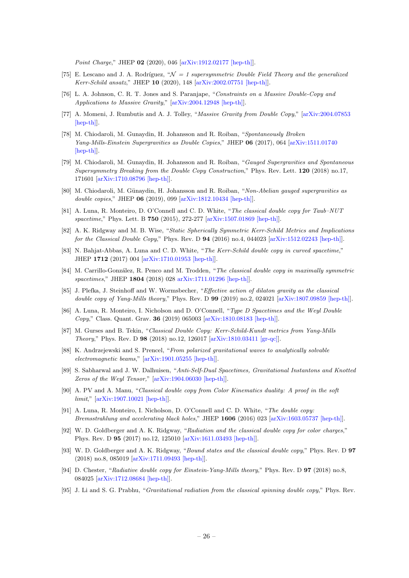Point Charge," JHEP 02 (2020), 046 [\[arXiv:1912.02177 \[hep-th\]\]](http://arxiv.org/abs/arXiv:1912.02177).

- <span id="page-26-0"></span>[75] E. Lescano and J. A. Rodríguez, " $\mathcal{N} = 1$  supersymmetric Double Field Theory and the generalized Kerr-Schild ansatz," JHEP 10 (2020), 148 [\[arXiv:2002.07751 \[hep-th\]\]](http://arxiv.org/abs/arXiv:2002.07751).
- <span id="page-26-1"></span>[76] L. A. Johnson, C. R. T. Jones and S. Paranjape, "Constraints on a Massive Double-Copy and Applications to Massive Gravity," [\[arXiv:2004.12948 \[hep-th\]\]](http://arxiv.org/abs/arXiv:2004.12948).
- <span id="page-26-2"></span>[77] A. Momeni, J. Rumbutis and A. J. Tolley, "Massive Gravity from Double Copy," [\[arXiv:2004.07853](http://arxiv.org/abs/arXiv:2004.07853) [\[hep-th\]\]](http://arxiv.org/abs/arXiv:2004.07853).
- <span id="page-26-3"></span>[78] M. Chiodaroli, M. Gunaydin, H. Johansson and R. Roiban, "Spontaneously Broken Yang-Mills-Einstein Supergravities as Double Copies," JHEP 06 (2017), 064 [\[arXiv:1511.01740](http://arxiv.org/abs/arXiv:1511.01740) [\[hep-th\]\]](http://arxiv.org/abs/arXiv:1511.01740).
- [79] M. Chiodaroli, M. Gunaydin, H. Johansson and R. Roiban, "Gauged Supergravities and Spontaneous Supersymmetry Breaking from the Double Copy Construction," Phys. Rev. Lett. 120 (2018) no.17, 171601 [\[arXiv:1710.08796 \[hep-th\]\]](http://arxiv.org/abs/arXiv:1710.08796).
- <span id="page-26-4"></span>[80] M. Chiodaroli, M. Günaydin, H. Johansson and R. Roiban, "Non-Abelian gauged supergravities as double copies," JHEP **06** (2019), 099 [\[arXiv:1812.10434 \[hep-th\]\]](http://arxiv.org/abs/arXiv:1812.10434).
- <span id="page-26-5"></span>[81] A. Luna, R. Monteiro, D. O'Connell and C. D. White, "The classical double copy for Taub–NUT spacetime," Phys. Lett. B 750 (2015), 272-277 [\[arXiv:1507.01869 \[hep-th\]\]](http://arxiv.org/abs/arXiv:1507.01869).
- [82] A. K. Ridgway and M. B. Wise, "Static Spherically Symmetric Kerr-Schild Metrics and Implications for the Classical Double Copy," Phys. Rev. D 94 (2016) no.4, 044023 [\[arXiv:1512.02243 \[hep-th\]\]](http://arxiv.org/abs/arXiv:1512.02243).
- [83] N. Bahjat-Abbas, A. Luna and C. D. White, "The Kerr-Schild double copy in curved spacetime," JHEP 1712 (2017) 004 [\[arXiv:1710.01953 \[hep-th\]\]](http://arxiv.org/abs/arXiv:1710.01953).
- [84] M. Carrillo-González, R. Penco and M. Trodden, "The classical double copy in maximally symmetric spacetimes," JHEP 1804 (2018) 028 [arXiv:1711.01296 \[hep-th\]\]](http://arxiv.org/abs/arXiv:1711.01296).
- [85] J. Plefka, J. Steinhoff and W. Wormsbecher, "Effective action of dilaton gravity as the classical double copy of Yang-Mills theory," Phys. Rev. D 99 (2019) no.2, 024021 [\[arXiv:1807.09859 \[hep-th\]\]](http://arxiv.org/abs/arXiv:1807.09859).
- [86] A. Luna, R. Monteiro, I. Nicholson and D. O'Connell, "Type D Spacetimes and the Weyl Double Copy," Class. Quant. Grav. 36 (2019) 065003 [\[arXiv:1810.08183 \[hep-th\]\]](http://arxiv.org/abs/arXiv:1810.08183).
- [87] M. Gurses and B. Tekin, "Classical Double Copy: Kerr-Schild-Kundt metrics from Yang-Mills Theory," Phys. Rev. D 98 (2018) no.12, 126017 [\[arXiv:1810.03411 \[gr-qc\]\]](http://arxiv.org/abs/arXiv:1810.03411).
- [88] K. Andrzejewski and S. Prencel, "From polarized gravitational waves to analytically solvable electromagnetic beams," [\[arXiv:1901.05255 \[hep-th\]\]](http://arxiv.org/abs/arXiv:1901.05255).
- [89] S. Sabharwal and J. W. Dalhuisen, "Anti-Self-Dual Spacetimes, Gravitational Instantons and Knotted Zeros of the Weyl Tensor," [\[arXiv:1904.06030 \[hep-th\]\]](http://arxiv.org/abs/arXiv:1904.06030).
- <span id="page-26-6"></span>[90] A. PV and A. Manu, "Classical double copy from Color Kinematics duality: A proof in the soft limit," [\[arXiv:1907.10021 \[hep-th\]\]](http://arxiv.org/abs/arXiv:1907.10021).
- <span id="page-26-7"></span>[91] A. Luna, R. Monteiro, I. Nicholson, D. O'Connell and C. D. White, "The double copy: Bremsstrahlung and accelerating black holes," JHEP 1606 (2016) 023 [\[arXiv:1603.05737 \[hep-th\]\]](http://arxiv.org/abs/arXiv:1603.05737).
- [92] W. D. Goldberger and A. K. Ridgway, "Radiation and the classical double copy for color charges," Phys. Rev. D 95 (2017) no.12, 125010 [\[arXiv:1611.03493 \[hep-th\]\]](http://arxiv.org/abs/arXiv:1611.03493).
- [93] W. D. Goldberger and A. K. Ridgway, "Bound states and the classical double copy," Phys. Rev. D 97 (2018) no.8, 085019 [\[arXiv:1711.09493 \[hep-th\]\]](http://arxiv.org/abs/arXiv:1711.09493).
- [94] D. Chester, "Radiative double copy for Einstein-Yang-Mills theory," Phys. Rev. D 97 (2018) no.8, 084025 [\[arXiv:1712.08684 \[hep-th\]\]](http://arxiv.org/abs/arXiv:1712.08684).
- [95] J. Li and S. G. Prabhu, "Gravitational radiation from the classical spinning double copy," Phys. Rev.